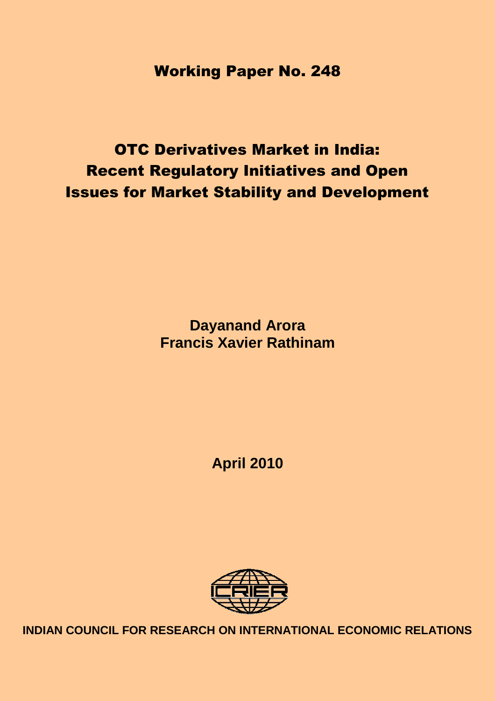Working Paper No. 248

OTC Derivatives Market in India: Recent Regulatory Initiatives and Open Issues for Market Stability and Development 

> **Francis Xavier Rathinam Dayanand Arora**

> > **April 2010**



**INDIAN COUNCIL FOR RESEARCH ON INTERNATIONAL ECONOMIC RELATIONS**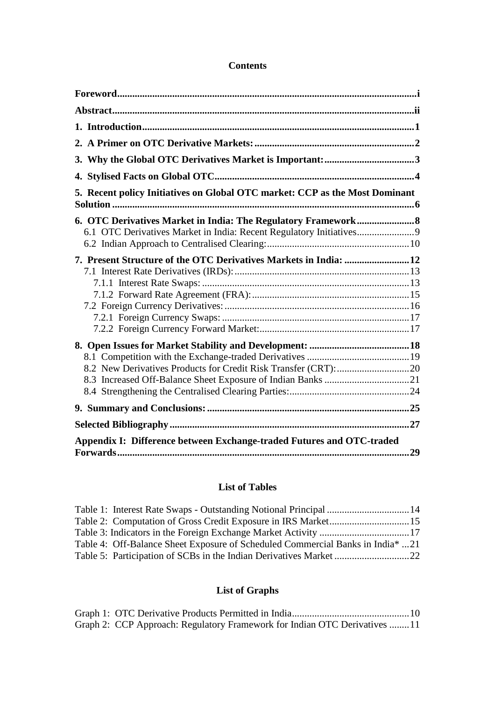| <b>Contents</b> |
|-----------------|
|-----------------|

| 5. Recent policy Initiatives on Global OTC market: CCP as the Most Dominant |  |
|-----------------------------------------------------------------------------|--|
|                                                                             |  |
| 6.1 OTC Derivatives Market in India: Recent Regulatory Initiatives          |  |
| 7. Present Structure of the OTC Derivatives Markets in India: 12            |  |
|                                                                             |  |
|                                                                             |  |
|                                                                             |  |
|                                                                             |  |
|                                                                             |  |
|                                                                             |  |
|                                                                             |  |
|                                                                             |  |
|                                                                             |  |
|                                                                             |  |
|                                                                             |  |
|                                                                             |  |
| Appendix I: Difference between Exchange-traded Futures and OTC-traded       |  |

## **List of Tables**

| Table 4: Off-Balance Sheet Exposure of Scheduled Commercial Banks in India* 21 |  |
|--------------------------------------------------------------------------------|--|
|                                                                                |  |

# **List of Graphs**

| Graph 2: CCP Approach: Regulatory Framework for Indian OTC Derivatives 11 |  |
|---------------------------------------------------------------------------|--|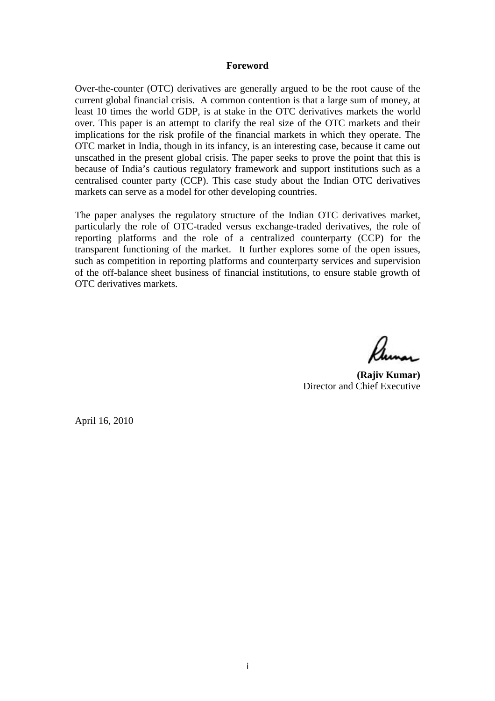#### **Foreword**

Over-the-counter (OTC) derivatives are generally argued to be the root cause of the current global financial crisis. A common contention is that a large sum of money, at least 10 times the world GDP, is at stake in the OTC derivatives markets the world over. This paper is an attempt to clarify the real size of the OTC markets and their implications for the risk profile of the financial markets in which they operate. The OTC market in India, though in its infancy, is an interesting case, because it came out unscathed in the present global crisis. The paper seeks to prove the point that this is because of India's cautious regulatory framework and support institutions such as a centralised counter party (CCP). This case study about the Indian OTC derivatives markets can serve as a model for other developing countries.

The paper analyses the regulatory structure of the Indian OTC derivatives market, particularly the role of OTC-traded versus exchange-traded derivatives, the role of reporting platforms and the role of a centralized counterparty (CCP) for the transparent functioning of the market. It further explores some of the open issues, such as competition in reporting platforms and counterparty services and supervision of the off-balance sheet business of financial institutions, to ensure stable growth of OTC derivatives markets.

**(Rajiv Kumar)**  Director and Chief Executive

April 16, 2010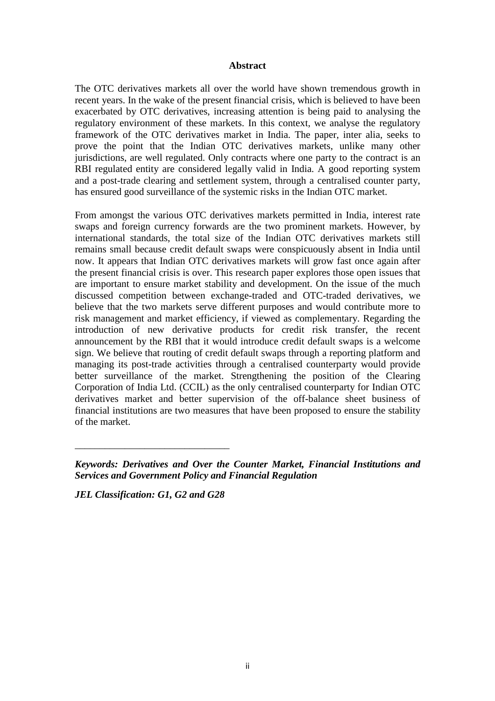#### **Abstract**

The OTC derivatives markets all over the world have shown tremendous growth in recent years. In the wake of the present financial crisis, which is believed to have been exacerbated by OTC derivatives, increasing attention is being paid to analysing the regulatory environment of these markets. In this context, we analyse the regulatory framework of the OTC derivatives market in India. The paper, inter alia, seeks to prove the point that the Indian OTC derivatives markets, unlike many other jurisdictions, are well regulated. Only contracts where one party to the contract is an RBI regulated entity are considered legally valid in India. A good reporting system and a post-trade clearing and settlement system, through a centralised counter party, has ensured good surveillance of the systemic risks in the Indian OTC market.

From amongst the various OTC derivatives markets permitted in India, interest rate swaps and foreign currency forwards are the two prominent markets. However, by international standards, the total size of the Indian OTC derivatives markets still remains small because credit default swaps were conspicuously absent in India until now. It appears that Indian OTC derivatives markets will grow fast once again after the present financial crisis is over. This research paper explores those open issues that are important to ensure market stability and development. On the issue of the much discussed competition between exchange-traded and OTC-traded derivatives, we believe that the two markets serve different purposes and would contribute more to risk management and market efficiency, if viewed as complementary. Regarding the introduction of new derivative products for credit risk transfer, the recent announcement by the RBI that it would introduce credit default swaps is a welcome sign. We believe that routing of credit default swaps through a reporting platform and managing its post-trade activities through a centralised counterparty would provide better surveillance of the market. Strengthening the position of the Clearing Corporation of India Ltd. (CCIL) as the only centralised counterparty for Indian OTC derivatives market and better supervision of the off-balance sheet business of financial institutions are two measures that have been proposed to ensure the stability of the market.

*JEL Classification: G1, G2 and G28*

\_\_\_\_\_\_\_\_\_\_\_\_\_\_\_\_\_\_\_\_\_\_\_\_\_\_\_\_\_\_\_

*Keywords: Derivatives and Over the Counter Market, Financial Institutions and Services and Government Policy and Financial Regulation*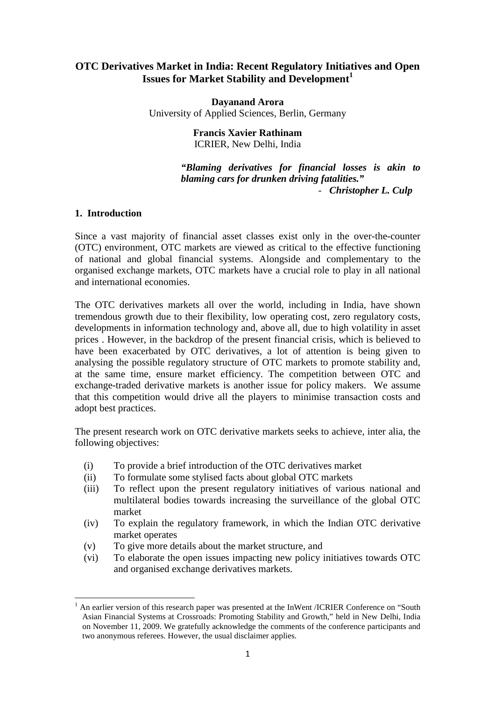## **OTC Derivatives Market in India: Recent Regulatory Initiatives and Open Issues for Market Stability and Development<sup>1</sup>**

**Dayanand Arora**  University of Applied Sciences, Berlin, Germany

> **Francis Xavier Rathinam** ICRIER, New Delhi, India

*"Blaming derivatives for financial losses is akin to blaming cars for drunken driving fatalities."*  - *Christopher L. Culp* 

#### **1. Introduction**

 $\overline{\phantom{0}}$ 

Since a vast majority of financial asset classes exist only in the over-the-counter (OTC) environment, OTC markets are viewed as critical to the effective functioning of national and global financial systems. Alongside and complementary to the organised exchange markets, OTC markets have a crucial role to play in all national and international economies.

The OTC derivatives markets all over the world, including in India, have shown tremendous growth due to their flexibility, low operating cost, zero regulatory costs, developments in information technology and, above all, due to high volatility in asset prices . However, in the backdrop of the present financial crisis, which is believed to have been exacerbated by OTC derivatives, a lot of attention is being given to analysing the possible regulatory structure of OTC markets to promote stability and, at the same time, ensure market efficiency. The competition between OTC and exchange-traded derivative markets is another issue for policy makers. We assume that this competition would drive all the players to minimise transaction costs and adopt best practices.

The present research work on OTC derivative markets seeks to achieve, inter alia, the following objectives:

- (i) To provide a brief introduction of the OTC derivatives market
- (ii) To formulate some stylised facts about global OTC markets
- (iii) To reflect upon the present regulatory initiatives of various national and multilateral bodies towards increasing the surveillance of the global OTC market
- (iv) To explain the regulatory framework, in which the Indian OTC derivative market operates
- (v) To give more details about the market structure, and
- (vi) To elaborate the open issues impacting new policy initiatives towards OTC and organised exchange derivatives markets.

<sup>1</sup> An earlier version of this research paper was presented at the InWent /ICRIER Conference on "South Asian Financial Systems at Crossroads: Promoting Stability and Growth," held in New Delhi, India on November 11, 2009. We gratefully acknowledge the comments of the conference participants and two anonymous referees. However, the usual disclaimer applies.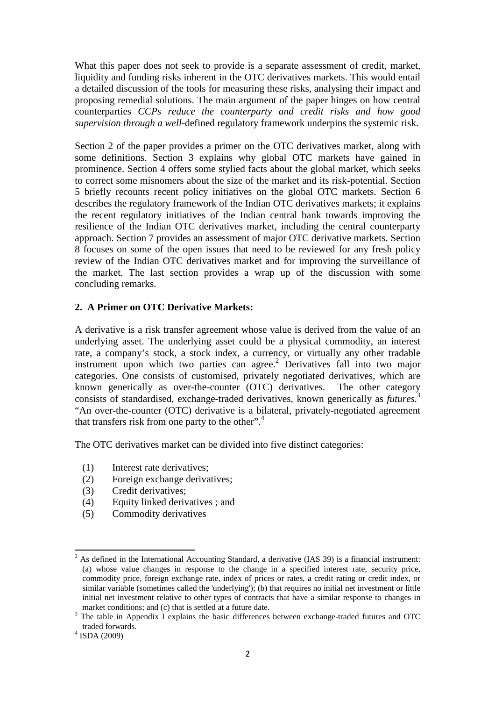What this paper does not seek to provide is a separate assessment of credit, market, liquidity and funding risks inherent in the OTC derivatives markets. This would entail a detailed discussion of the tools for measuring these risks, analysing their impact and proposing remedial solutions. The main argument of the paper hinges on how central counterparties *CCPs reduce the counterparty and credit risks and how good supervision through a well-*defined regulatory framework underpins the systemic risk.

Section 2 of the paper provides a primer on the OTC derivatives market, along with some definitions. Section 3 explains why global OTC markets have gained in prominence. Section 4 offers some stylied facts about the global market, which seeks to correct some misnomers about the size of the market and its risk-potential. Section 5 briefly recounts recent policy initiatives on the global OTC markets. Section 6 describes the regulatory framework of the Indian OTC derivatives markets; it explains the recent regulatory initiatives of the Indian central bank towards improving the resilience of the Indian OTC derivatives market, including the central counterparty approach. Section 7 provides an assessment of major OTC derivative markets. Section 8 focuses on some of the open issues that need to be reviewed for any fresh policy review of the Indian OTC derivatives market and for improving the surveillance of the market. The last section provides a wrap up of the discussion with some concluding remarks.

#### **2. A Primer on OTC Derivative Markets:**

A derivative is a risk transfer agreement whose value is derived from the value of an underlying asset. The underlying asset could be a physical commodity, an interest rate, a company's stock, a stock index, a currency, or virtually any other tradable instrument upon which two parties can agree.<sup>2</sup> Derivatives fall into two major categories. One consists of customised, privately negotiated derivatives, which are known generically as over-the-counter (OTC) derivatives. The other category consists of standardised, exchange-traded derivatives, known generically as *futures.<sup>3</sup>* "An over-the-counter (OTC) derivative is a bilateral, privately-negotiated agreement that transfers risk from one party to the other".<sup>4</sup>

The OTC derivatives market can be divided into five distinct categories:

- (1) Interest rate derivatives;
- (2) Foreign exchange derivatives;
- (3) Credit derivatives;
- (4) Equity linked derivatives ; and
- (5) Commodity derivatives

 $\overline{a}$ 

 $2^2$  As defined in the International Accounting Standard, a derivative (IAS 39) is a financial instrument: (a) whose value changes in response to the change in a specified interest rate, security price, commodity price, foreign exchange rate, index of prices or rates, a credit rating or credit index, or similar variable (sometimes called the 'underlying'); (b) that requires no initial net investment or little initial net investment relative to other types of contracts that have a similar response to changes in market conditions; and (c) that is settled at a future date.

<sup>&</sup>lt;sup>3</sup> The table in Appendix I explains the basic differences between exchange-traded futures and OTC traded forwards.

<sup>4</sup> ISDA (2009)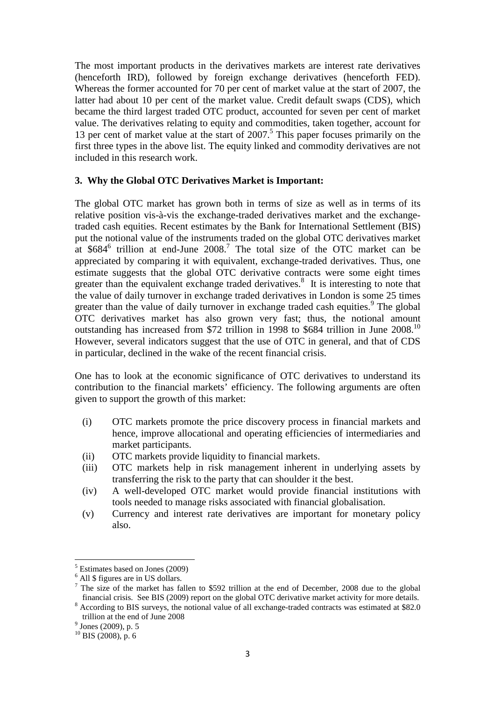The most important products in the derivatives markets are interest rate derivatives (henceforth IRD), followed by foreign exchange derivatives (henceforth FED). Whereas the former accounted for 70 per cent of market value at the start of 2007, the latter had about 10 per cent of the market value. Credit default swaps (CDS), which became the third largest traded OTC product, accounted for seven per cent of market value. The derivatives relating to equity and commodities, taken together, account for 13 per cent of market value at the start of  $2007$ .<sup>5</sup> This paper focuses primarily on the first three types in the above list. The equity linked and commodity derivatives are not included in this research work.

#### **3. Why the Global OTC Derivatives Market is Important:**

The global OTC market has grown both in terms of size as well as in terms of its relative position vis-à-vis the exchange-traded derivatives market and the exchangetraded cash equities. Recent estimates by the Bank for International Settlement (BIS) put the notional value of the instruments traded on the global OTC derivatives market at  $$684^6$  trillion at end-June  $2008$ .<sup>7</sup> The total size of the OTC market can be appreciated by comparing it with equivalent, exchange-traded derivatives. Thus, one estimate suggests that the global OTC derivative contracts were some eight times greater than the equivalent exchange traded derivatives.<sup>8</sup> It is interesting to note that the value of daily turnover in exchange traded derivatives in London is some 25 times greater than the value of daily turnover in exchange traded cash equities.<sup>9</sup> The global OTC derivatives market has also grown very fast; thus, the notional amount outstanding has increased from \$72 trillion in 1998 to \$684 trillion in June 2008.<sup>10</sup> However, several indicators suggest that the use of OTC in general, and that of CDS in particular, declined in the wake of the recent financial crisis.

One has to look at the economic significance of OTC derivatives to understand its contribution to the financial markets' efficiency. The following arguments are often given to support the growth of this market:

- (i) OTC markets promote the price discovery process in financial markets and hence, improve allocational and operating efficiencies of intermediaries and market participants.
- (ii) OTC markets provide liquidity to financial markets.
- (iii) OTC markets help in risk management inherent in underlying assets by transferring the risk to the party that can shoulder it the best.
- (iv) A well-developed OTC market would provide financial institutions with tools needed to manage risks associated with financial globalisation.
- (v) Currency and interest rate derivatives are important for monetary policy also.

<sup>5</sup> Estimates based on Jones (2009)

<sup>6</sup> All \$ figures are in US dollars.

<sup>&</sup>lt;sup>7</sup> The size of the market has fallen to \$592 trillion at the end of December, 2008 due to the global financial crisis. See BIS (2009) report on the global OTC derivative market activity for more details. <sup>8</sup> According to BIS surveys, the notional value of all exchange-traded contracts was estimated at \$82.0

trillion at the end of June 2008

 $9^9$  Jones (2009), p. 5

 $10$  BIS (2008), p. 6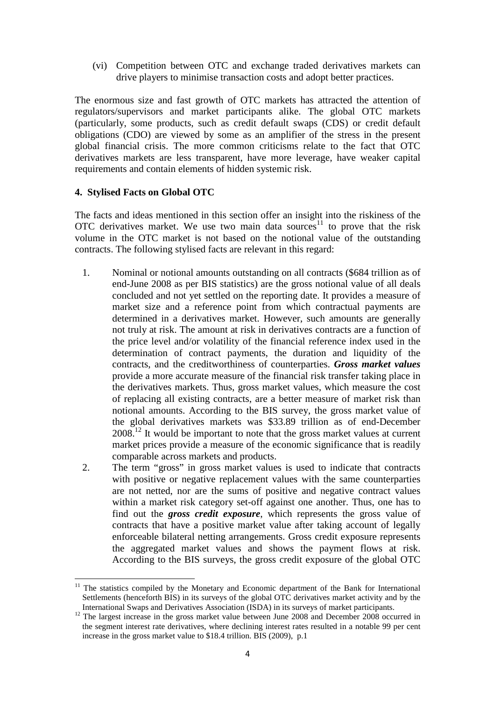(vi) Competition between OTC and exchange traded derivatives markets can drive players to minimise transaction costs and adopt better practices.

The enormous size and fast growth of OTC markets has attracted the attention of regulators/supervisors and market participants alike. The global OTC markets (particularly, some products, such as credit default swaps (CDS) or credit default obligations (CDO) are viewed by some as an amplifier of the stress in the present global financial crisis. The more common criticisms relate to the fact that OTC derivatives markets are less transparent, have more leverage, have weaker capital requirements and contain elements of hidden systemic risk.

#### **4. Stylised Facts on Global OTC**

 $\overline{a}$ 

The facts and ideas mentioned in this section offer an insight into the riskiness of the OTC derivatives market. We use two main data sources<sup>11</sup> to prove that the risk volume in the OTC market is not based on the notional value of the outstanding contracts. The following stylised facts are relevant in this regard:

- 1. Nominal or notional amounts outstanding on all contracts (\$684 trillion as of end-June 2008 as per BIS statistics) are the gross notional value of all deals concluded and not yet settled on the reporting date. It provides a measure of market size and a reference point from which contractual payments are determined in a derivatives market. However, such amounts are generally not truly at risk. The amount at risk in derivatives contracts are a function of the price level and/or volatility of the financial reference index used in the determination of contract payments, the duration and liquidity of the contracts, and the creditworthiness of counterparties. *Gross market values* provide a more accurate measure of the financial risk transfer taking place in the derivatives markets. Thus, gross market values, which measure the cost of replacing all existing contracts, are a better measure of market risk than notional amounts. According to the BIS survey, the gross market value of the global derivatives markets was \$33.89 trillion as of end-December  $2008<sup>12</sup>$  It would be important to note that the gross market values at current market prices provide a measure of the economic significance that is readily comparable across markets and products.
- 2. The term "gross" in gross market values is used to indicate that contracts with positive or negative replacement values with the same counterparties are not netted, nor are the sums of positive and negative contract values within a market risk category set-off against one another. Thus, one has to find out the *gross credit exposure*, which represents the gross value of contracts that have a positive market value after taking account of legally enforceable bilateral netting arrangements. Gross credit exposure represents the aggregated market values and shows the payment flows at risk. According to the BIS surveys, the gross credit exposure of the global OTC

 $11$  The statistics compiled by the Monetary and Economic department of the Bank for International Settlements (henceforth BIS) in its surveys of the global OTC derivatives market activity and by the International Swaps and Derivatives Association (ISDA) in its surveys of market participants.

<sup>&</sup>lt;sup>12</sup> The largest increase in the gross market value between June 2008 and December 2008 occurred in the segment interest rate derivatives, where declining interest rates resulted in a notable 99 per cent increase in the gross market value to \$18.4 trillion. BIS (2009), p.1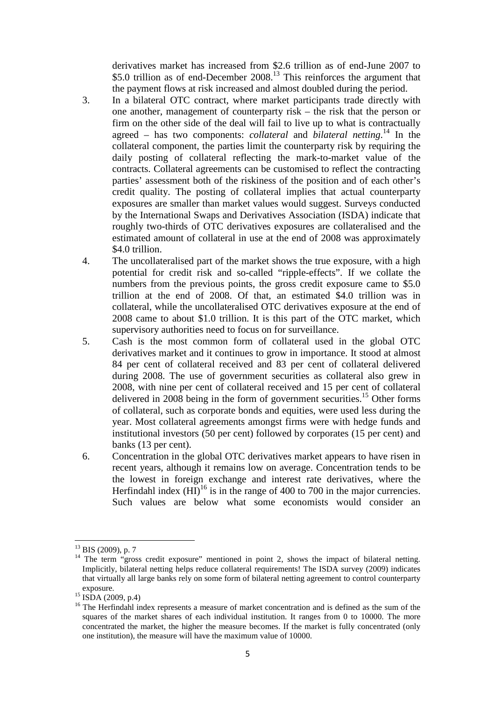derivatives market has increased from \$2.6 trillion as of end-June 2007 to \$5.0 trillion as of end-December 2008.<sup>13</sup> This reinforces the argument that the payment flows at risk increased and almost doubled during the period.

- 3. In a bilateral OTC contract, where market participants trade directly with one another, management of counterparty risk – the risk that the person or firm on the other side of the deal will fail to live up to what is contractually agreed – has two components: *collateral* and *bilateral netting*. <sup>14</sup> In the collateral component, the parties limit the counterparty risk by requiring the daily posting of collateral reflecting the mark-to-market value of the contracts. Collateral agreements can be customised to reflect the contracting parties' assessment both of the riskiness of the position and of each other's credit quality. The posting of collateral implies that actual counterparty exposures are smaller than market values would suggest. Surveys conducted by the International Swaps and Derivatives Association (ISDA) indicate that roughly two-thirds of OTC derivatives exposures are collateralised and the estimated amount of collateral in use at the end of 2008 was approximately \$4.0 trillion.
- 4. The uncollateralised part of the market shows the true exposure, with a high potential for credit risk and so-called "ripple-effects". If we collate the numbers from the previous points, the gross credit exposure came to \$5.0 trillion at the end of 2008. Of that, an estimated \$4.0 trillion was in collateral, while the uncollateralised OTC derivatives exposure at the end of 2008 came to about \$1.0 trillion. It is this part of the OTC market, which supervisory authorities need to focus on for surveillance.
- 5. Cash is the most common form of collateral used in the global OTC derivatives market and it continues to grow in importance. It stood at almost 84 per cent of collateral received and 83 per cent of collateral delivered during 2008. The use of government securities as collateral also grew in 2008, with nine per cent of collateral received and 15 per cent of collateral delivered in 2008 being in the form of government securities.<sup>15</sup> Other forms of collateral, such as corporate bonds and equities, were used less during the year. Most collateral agreements amongst firms were with hedge funds and institutional investors (50 per cent) followed by corporates (15 per cent) and banks (13 per cent).
- 6. Concentration in the global OTC derivatives market appears to have risen in recent years, although it remains low on average. Concentration tends to be the lowest in foreign exchange and interest rate derivatives, where the Herfindahl index  $(HI)^{16}$  is in the range of 400 to 700 in the major currencies. Such values are below what some economists would consider an

 $13$  BIS (2009), p. 7

<sup>&</sup>lt;sup>14</sup> The term "gross credit exposure" mentioned in point 2, shows the impact of bilateral netting. Implicitly, bilateral netting helps reduce collateral requirements! The ISDA survey (2009) indicates that virtually all large banks rely on some form of bilateral netting agreement to control counterparty exposure.

 $^{15}$  ISDA (2009, p.4)

<sup>&</sup>lt;sup>16</sup> The Herfindahl index represents a measure of market concentration and is defined as the sum of the squares of the market shares of each individual institution. It ranges from 0 to 10000. The more concentrated the market, the higher the measure becomes. If the market is fully concentrated (only one institution), the measure will have the maximum value of 10000.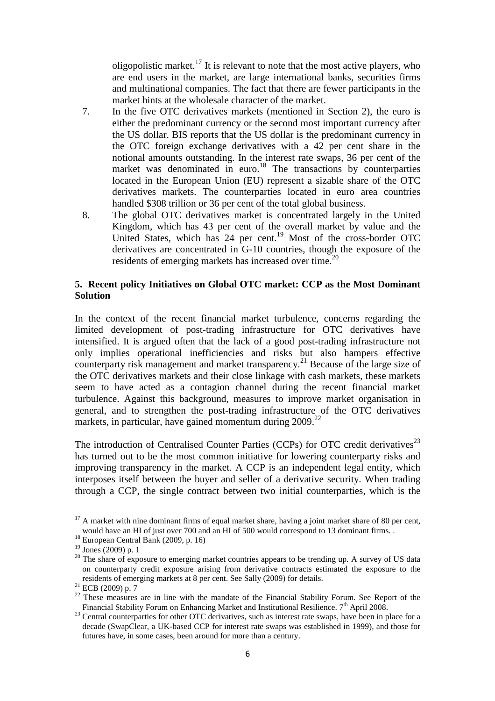oligopolistic market.<sup>17</sup> It is relevant to note that the most active players, who are end users in the market, are large international banks, securities firms and multinational companies. The fact that there are fewer participants in the market hints at the wholesale character of the market.

- 7. In the five OTC derivatives markets (mentioned in Section 2), the euro is either the predominant currency or the second most important currency after the US dollar. BIS reports that the US dollar is the predominant currency in the OTC foreign exchange derivatives with a 42 per cent share in the notional amounts outstanding. In the interest rate swaps, 36 per cent of the market was denominated in euro.<sup>18</sup> The transactions by counterparties located in the European Union (EU) represent a sizable share of the OTC derivatives markets. The counterparties located in euro area countries handled \$308 trillion or 36 per cent of the total global business.
- 8. The global OTC derivatives market is concentrated largely in the United Kingdom, which has 43 per cent of the overall market by value and the United States, which has 24 per cent.<sup>19</sup> Most of the cross-border OTC derivatives are concentrated in G-10 countries, though the exposure of the residents of emerging markets has increased over time.<sup>20</sup>

#### **5. Recent policy Initiatives on Global OTC market: CCP as the Most Dominant Solution**

In the context of the recent financial market turbulence, concerns regarding the limited development of post-trading infrastructure for OTC derivatives have intensified. It is argued often that the lack of a good post-trading infrastructure not only implies operational inefficiencies and risks but also hampers effective counterparty risk management and market transparency. <sup>21</sup> Because of the large size of the OTC derivatives markets and their close linkage with cash markets, these markets seem to have acted as a contagion channel during the recent financial market turbulence. Against this background, measures to improve market organisation in general, and to strengthen the post-trading infrastructure of the OTC derivatives markets, in particular, have gained momentum during  $2009<sup>22</sup>$ 

The introduction of Centralised Counter Parties (CCPs) for OTC credit derivatives<sup>23</sup> has turned out to be the most common initiative for lowering counterparty risks and improving transparency in the market. A CCP is an independent legal entity, which interposes itself between the buyer and seller of a derivative security. When trading through a CCP, the single contract between two initial counterparties, which is the

 $17$  A market with nine dominant firms of equal market share, having a joint market share of 80 per cent, would have an HI of just over 700 and an HI of 500 would correspond to 13 dominant firms. .

<sup>18</sup> European Central Bank (2009, p. 16)

 $19 \text{ Jones}$  (2009) p. 1

 $20$  The share of exposure to emerging market countries appears to be trending up. A survey of US data on counterparty credit exposure arising from derivative contracts estimated the exposure to the residents of emerging markets at 8 per cent. See Sally (2009) for details.

 $^{21}$  ECB (2009) p. 7

 $22$  These measures are in line with the mandate of the Financial Stability Forum. See Report of the Financial Stability Forum on Enhancing Market and Institutional Resilience.  $7<sup>th</sup>$  April 2008.

<sup>&</sup>lt;sup>23</sup> Central counterparties for other OTC derivatives, such as interest rate swaps, have been in place for a decade (SwapClear, a UK-based CCP for interest rate swaps was established in 1999), and those for futures have, in some cases, been around for more than a century.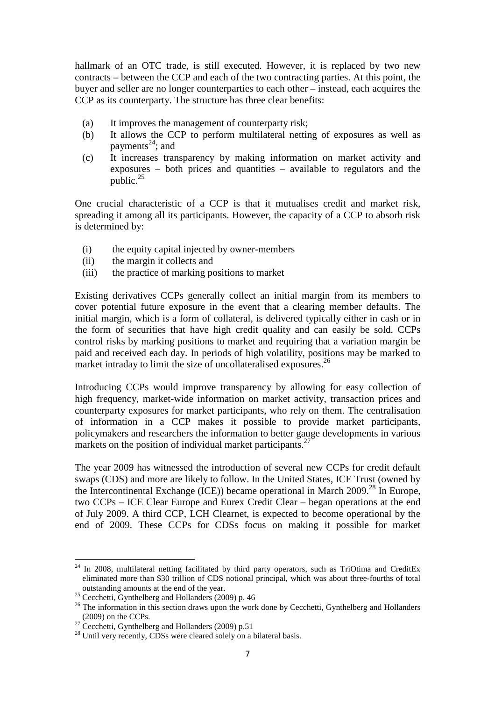hallmark of an OTC trade, is still executed. However, it is replaced by two new contracts – between the CCP and each of the two contracting parties. At this point, the buyer and seller are no longer counterparties to each other – instead, each acquires the CCP as its counterparty. The structure has three clear benefits:

- (a) It improves the management of counterparty risk;
- (b) It allows the CCP to perform multilateral netting of exposures as well as payments<sup>24</sup>; and
- (c) It increases transparency by making information on market activity and exposures – both prices and quantities – available to regulators and the public. $^{25}$

One crucial characteristic of a CCP is that it mutualises credit and market risk, spreading it among all its participants. However, the capacity of a CCP to absorb risk is determined by:

- (i) the equity capital injected by owner-members
- (ii) the margin it collects and
- (iii) the practice of marking positions to market

Existing derivatives CCPs generally collect an initial margin from its members to cover potential future exposure in the event that a clearing member defaults. The initial margin, which is a form of collateral, is delivered typically either in cash or in the form of securities that have high credit quality and can easily be sold. CCPs control risks by marking positions to market and requiring that a variation margin be paid and received each day. In periods of high volatility, positions may be marked to market intraday to limit the size of uncollateralised exposures.  $^{26}$ 

Introducing CCPs would improve transparency by allowing for easy collection of high frequency, market-wide information on market activity, transaction prices and counterparty exposures for market participants, who rely on them. The centralisation of information in a CCP makes it possible to provide market participants, policymakers and researchers the information to better gauge developments in various markets on the position of individual market participants.<sup>27</sup>

The year 2009 has witnessed the introduction of several new CCPs for credit default swaps (CDS) and more are likely to follow. In the United States, ICE Trust (owned by the Intercontinental Exchange (ICE)) became operational in March 2009.<sup>28</sup> In Europe, two CCPs – ICE Clear Europe and Eurex Credit Clear – began operations at the end of July 2009. A third CCP, LCH Clearnet, is expected to become operational by the end of 2009. These CCPs for CDSs focus on making it possible for market

<sup>&</sup>lt;sup>24</sup> In 2008, multilateral netting facilitated by third party operators, such as TriOtima and CreditEx eliminated more than \$30 trillion of CDS notional principal, which was about three-fourths of total outstanding amounts at the end of the year.

 $25$  Cecchetti, Gynthelberg and Hollanders (2009) p. 46

 $26$  The information in this section draws upon the work done by Cecchetti. Gynthelberg and Hollanders (2009) on the CCPs.

 $27$  Cecchetti, Gynthelberg and Hollanders (2009) p.51

 $^{28}$  Until very recently, CDSs were cleared solely on a bilateral basis.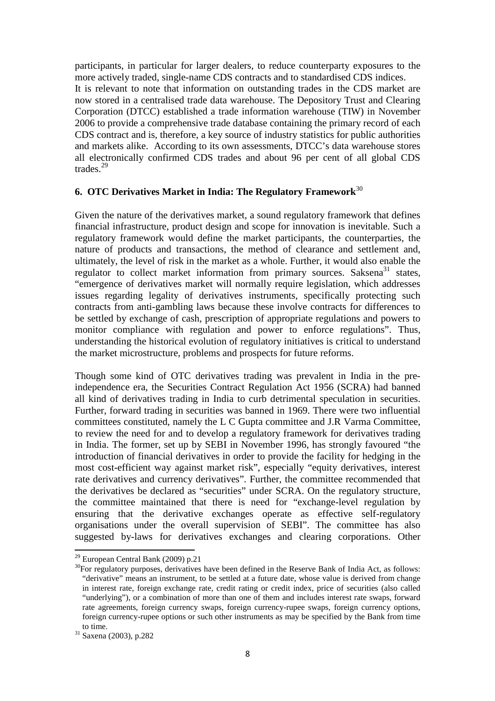participants, in particular for larger dealers, to reduce counterparty exposures to the more actively traded, single-name CDS contracts and to standardised CDS indices. It is relevant to note that information on outstanding trades in the CDS market are now stored in a centralised trade data warehouse. The Depository Trust and Clearing Corporation (DTCC) established a trade information warehouse (TIW) in November 2006 to provide a comprehensive trade database containing the primary record of each CDS contract and is, therefore, a key source of industry statistics for public authorities and markets alike. According to its own assessments, DTCC's data warehouse stores all electronically confirmed CDS trades and about 96 per cent of all global CDS trades.<sup>29</sup>

## **6. OTC Derivatives Market in India: The Regulatory Framework**<sup>30</sup>

Given the nature of the derivatives market, a sound regulatory framework that defines financial infrastructure, product design and scope for innovation is inevitable. Such a regulatory framework would define the market participants, the counterparties, the nature of products and transactions, the method of clearance and settlement and, ultimately, the level of risk in the market as a whole. Further, it would also enable the regulator to collect market information from primary sources. Saksena<sup>31</sup> states, "emergence of derivatives market will normally require legislation, which addresses issues regarding legality of derivatives instruments, specifically protecting such contracts from anti-gambling laws because these involve contracts for differences to be settled by exchange of cash, prescription of appropriate regulations and powers to monitor compliance with regulation and power to enforce regulations". Thus, understanding the historical evolution of regulatory initiatives is critical to understand the market microstructure, problems and prospects for future reforms.

Though some kind of OTC derivatives trading was prevalent in India in the preindependence era, the Securities Contract Regulation Act 1956 (SCRA) had banned all kind of derivatives trading in India to curb detrimental speculation in securities. Further, forward trading in securities was banned in 1969. There were two influential committees constituted, namely the L C Gupta committee and J.R Varma Committee, to review the need for and to develop a regulatory framework for derivatives trading in India. The former, set up by SEBI in November 1996, has strongly favoured "the introduction of financial derivatives in order to provide the facility for hedging in the most cost-efficient way against market risk", especially "equity derivatives, interest rate derivatives and currency derivatives". Further, the committee recommended that the derivatives be declared as "securities" under SCRA. On the regulatory structure, the committee maintained that there is need for "exchange-level regulation by ensuring that the derivative exchanges operate as effective self-regulatory organisations under the overall supervision of SEBI". The committee has also suggested by-laws for derivatives exchanges and clearing corporations. Other

 $\overline{a}$ 

 $29$  European Central Bank (2009) p.21

 $30$ For regulatory purposes, derivatives have been defined in the Reserve Bank of India Act, as follows: "derivative" means an instrument, to be settled at a future date, whose value is derived from change in interest rate, foreign exchange rate, credit rating or credit index, price of securities (also called "underlying"), or a combination of more than one of them and includes interest rate swaps, forward rate agreements, foreign currency swaps, foreign currency-rupee swaps, foreign currency options, foreign currency-rupee options or such other instruments as may be specified by the Bank from time to time.

<sup>31</sup> Saxena (2003), p.282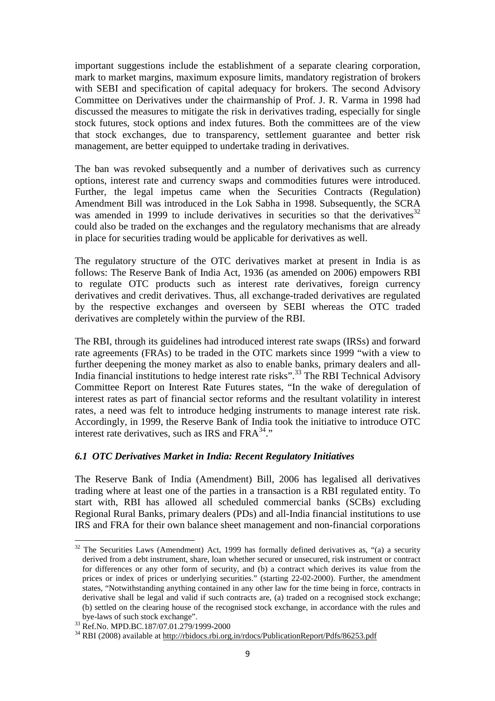important suggestions include the establishment of a separate clearing corporation, mark to market margins, maximum exposure limits, mandatory registration of brokers with SEBI and specification of capital adequacy for brokers. The second Advisory Committee on Derivatives under the chairmanship of Prof. J. R. Varma in 1998 had discussed the measures to mitigate the risk in derivatives trading, especially for single stock futures, stock options and index futures. Both the committees are of the view that stock exchanges, due to transparency, settlement guarantee and better risk management, are better equipped to undertake trading in derivatives.

The ban was revoked subsequently and a number of derivatives such as currency options, interest rate and currency swaps and commodities futures were introduced. Further, the legal impetus came when the Securities Contracts (Regulation) Amendment Bill was introduced in the Lok Sabha in 1998. Subsequently, the SCRA was amended in 1999 to include derivatives in securities so that the derivatives<sup>32</sup> could also be traded on the exchanges and the regulatory mechanisms that are already in place for securities trading would be applicable for derivatives as well.

The regulatory structure of the OTC derivatives market at present in India is as follows: The Reserve Bank of India Act, 1936 (as amended on 2006) empowers RBI to regulate OTC products such as interest rate derivatives, foreign currency derivatives and credit derivatives. Thus, all exchange-traded derivatives are regulated by the respective exchanges and overseen by SEBI whereas the OTC traded derivatives are completely within the purview of the RBI.

The RBI, through its guidelines had introduced interest rate swaps (IRSs) and forward rate agreements (FRAs) to be traded in the OTC markets since 1999 "with a view to further deepening the money market as also to enable banks, primary dealers and all-India financial institutions to hedge interest rate risks".<sup>33</sup> The RBI Technical Advisory Committee Report on Interest Rate Futures states, "In the wake of deregulation of interest rates as part of financial sector reforms and the resultant volatility in interest rates, a need was felt to introduce hedging instruments to manage interest rate risk. Accordingly, in 1999, the Reserve Bank of India took the initiative to introduce OTC interest rate derivatives, such as IRS and  $FRA^{34}$ ."

### *6.1 OTC Derivatives Market in India: Recent Regulatory Initiatives*

The Reserve Bank of India (Amendment) Bill, 2006 has legalised all derivatives trading where at least one of the parties in a transaction is a RBI regulated entity. To start with, RBI has allowed all scheduled commercial banks (SCBs) excluding Regional Rural Banks, primary dealers (PDs) and all-India financial institutions to use IRS and FRA for their own balance sheet management and non-financial corporations

 $32$  The Securities Laws (Amendment) Act, 1999 has formally defined derivatives as, "(a) a security derived from a debt instrument, share, loan whether secured or unsecured, risk instrument or contract for differences or any other form of security, and (b) a contract which derives its value from the prices or index of prices or underlying securities." (starting 22-02-2000). Further, the amendment states, "Notwithstanding anything contained in any other law for the time being in force, contracts in derivative shall be legal and valid if such contracts are, (a) traded on a recognised stock exchange; (b) settled on the clearing house of the recognised stock exchange, in accordance with the rules and bye-laws of such stock exchange".

<sup>&</sup>lt;sup>33</sup> Ref.No. MPD.BC.187/07.01.279/1999-2000

<sup>&</sup>lt;sup>34</sup> RBI (2008) available at http://rbidocs.rbi.org.in/rdocs/PublicationReport/Pdfs/86253.pdf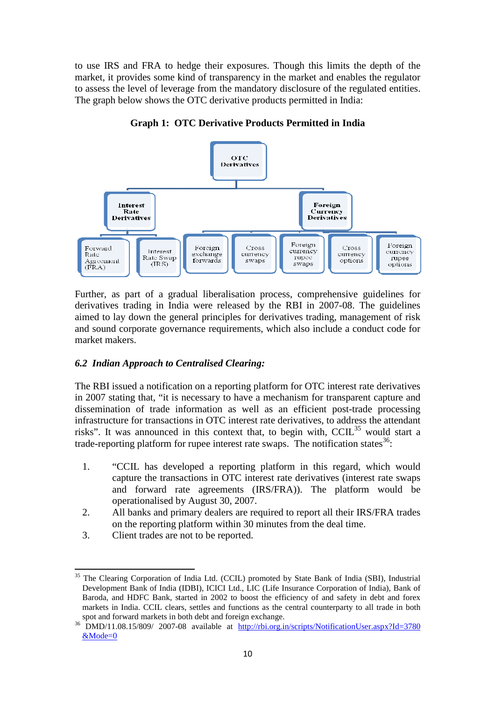to use IRS and FRA to hedge their exposures. Though this limits the depth of the market, it provides some kind of transparency in the market and enables the regulator to assess the level of leverage from the mandatory disclosure of the regulated entities. The graph below shows the OTC derivative products permitted in India:

**Graph 1: OTC Derivative Products Permitted in India**



Further, as part of a gradual liberalisation process, comprehensive guidelines for derivatives trading in India were released by the RBI in 2007 2007-08. The guidelines aimed to lay down the general principles for derivatives trading, management of risk and sound corporate governance requirements, which also include a conduct code for market makers.

## *6.2 Indian Approach to Centralised Clearing:*

The RBI issued a notification on a reporting platform for OTC interest rate derivatives in 2007 stating that, "it is necessary to have a mechanism for transparent capture and dissemination of trade information as well as an efficient post-trade processing infrastructure for transactions in OTC interest rate derivatives, to address the attendant risks". It was announced in this context that, to begin with, CCIL<sup>35</sup> trade-reporting platform for rupee interest rate swaps. The notification states<sup>36</sup>:<br>1. "CCIL has developed a reporting platform in this regard, which would

- 1. "CCIL has developed a reporting platform in this regard, which would capture the transactions in OTC interest rate derivatives (interest rate swaps and forward rate agreements (IRS/FRA)). The platform would be operationalised by August 30, 2007. atform<br>st rate of<br>S/FRA)<br>ired to 1
- 2. All banks and primary dealers are required to report all their IRS/FRA trades on the reporting platform within 30 minutes from the deal time.
- 3. Client trades are not to be reported.

<sup>&</sup>lt;sup>35</sup> The Clearing Corporation of India Ltd. (CCIL) promoted by State Bank of India (SBI), Industrial Development Bank of India (IDBI), ICICI Ltd., LIC (Life Insurance Corporation of India), Bank of Baroda, and HDFC Bank, started in 2002 to boost the efficiency of and safety in debt and forex markets in India. CCIL clears, settles and functions as the central counterparty to all trade in both spot and forward markets in both debt and foreign exchange.

<sup>&</sup>lt;sup>36</sup> DMD/11.08.15/809/ 2007-08 available at http://rbi.org.in/scripts/NotificationUser.aspx?Id=3780 &Mode=0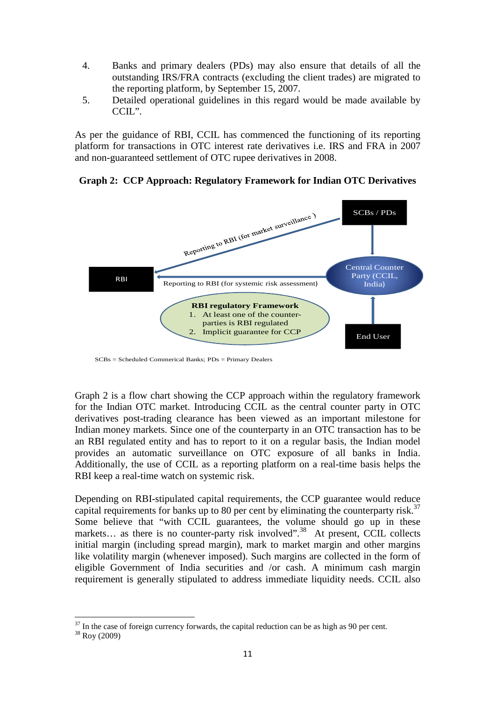- 4. Banks and primary dealers (PDs) may also ensure that details of all the outstanding IRS/FRA contracts (excluding the client trades) are migrated to the reporting platform, by September 15, 2007.
- 5. Detailed operational guidelines in this regard would be made available by CCIL".

As per the guidance of RBI, CCIL has commenced the functioning of its reporting platform for transactions in OTC interest rate derivatives i.e. IRS and FRA in 2007 and non-guaranteed settlement of OTC rupee derivatives in 2008.

**Graph 2: CCP Approach: Regulatory Framework for Indian OTC Derivatives** 



SCBs = Scheduled Commerical Banks; PDs = Primary Dealers

Graph 2 is a flow chart showing the CCP approach within the regulatory framework for the Indian OTC market. Introducing CCIL as the central counter party in OTC derivatives post-trading clearance has been viewed as an important milestone for Indian money markets. Since one of the counterparty in an OTC transaction has to be an RBI regulated entity and has to report to it on a regular basis, the Indian model provides an automatic surveillance on OTC exposure of all banks in India. Additionally, the use of CCIL as a reporting platform on a real-time basis helps the RBI keep a real-time watch on systemic risk.

Depending on RBI-stipulated capital requirements, the CCP guarantee would reduce capital requirements for banks up to 80 per cent by eliminating the counterparty risk.<sup>37</sup> Some believe that "with CCIL guarantees, the volume should go up in these markets... as there is no counter-party risk involved".<sup>38</sup> At present, CCIL collects initial margin (including spread margin), mark to market margin and other margins like volatility margin (whenever imposed). Such margins are collected in the form of eligible Government of India securities and /or cash. A minimum cash margin requirement is generally stipulated to address immediate liquidity needs. CCIL also

 $37$  In the case of foreign currency forwards, the capital reduction can be as high as 90 per cent.

<sup>38</sup> Roy (2009)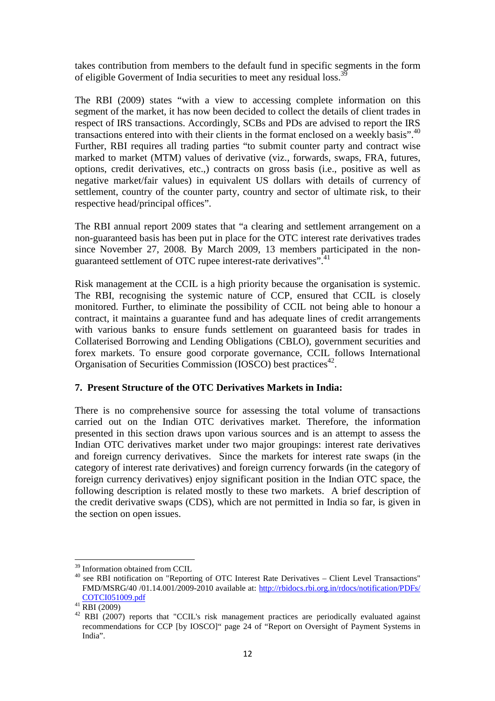takes contribution from members to the default fund in specific segments in the form of eligible Goverment of India securities to meet any residual loss.<sup>3</sup>

The RBI (2009) states "with a view to accessing complete information on this segment of the market, it has now been decided to collect the details of client trades in respect of IRS transactions. Accordingly, SCBs and PDs are advised to report the IRS transactions entered into with their clients in the format enclosed on a weekly basis".<sup>40</sup> Further, RBI requires all trading parties "to submit counter party and contract wise marked to market (MTM) values of derivative (viz., forwards, swaps, FRA, futures, options, credit derivatives, etc.,) contracts on gross basis (i.e., positive as well as negative market/fair values) in equivalent US dollars with details of currency of settlement, country of the counter party, country and sector of ultimate risk, to their respective head/principal offices".

The RBI annual report 2009 states that "a clearing and settlement arrangement on a non-guaranteed basis has been put in place for the OTC interest rate derivatives trades since November 27, 2008. By March 2009, 13 members participated in the nonguaranteed settlement of OTC rupee interest-rate derivatives".<sup>41</sup>

Risk management at the CCIL is a high priority because the organisation is systemic. The RBI, recognising the systemic nature of CCP, ensured that CCIL is closely monitored. Further, to eliminate the possibility of CCIL not being able to honour a contract, it maintains a guarantee fund and has adequate lines of credit arrangements with various banks to ensure funds settlement on guaranteed basis for trades in Collaterised Borrowing and Lending Obligations (CBLO), government securities and forex markets. To ensure good corporate governance, CCIL follows International Organisation of Securities Commission (IOSCO) best practices<sup>42</sup>.

#### **7. Present Structure of the OTC Derivatives Markets in India:**

There is no comprehensive source for assessing the total volume of transactions carried out on the Indian OTC derivatives market. Therefore, the information presented in this section draws upon various sources and is an attempt to assess the Indian OTC derivatives market under two major groupings: interest rate derivatives and foreign currency derivatives. Since the markets for interest rate swaps (in the category of interest rate derivatives) and foreign currency forwards (in the category of foreign currency derivatives) enjoy significant position in the Indian OTC space, the following description is related mostly to these two markets. A brief description of the credit derivative swaps (CDS), which are not permitted in India so far, is given in the section on open issues.

<sup>39</sup> Information obtained from CCIL

 $40$  see RBI notification on "Reporting of OTC Interest Rate Derivatives – Client Level Transactions" FMD/MSRG/40 /01.14.001/2009-2010 available at: http://rbidocs.rbi.org.in/rdocs/notification/PDFs/ COTCI051009.pdf

 $41 \overline{RBI (2009)}$ 

 $42$  RBI (2007) reports that "CCIL's risk management practices are periodically evaluated against recommendations for CCP [by IOSCO]" page 24 of "Report on Oversight of Payment Systems in India".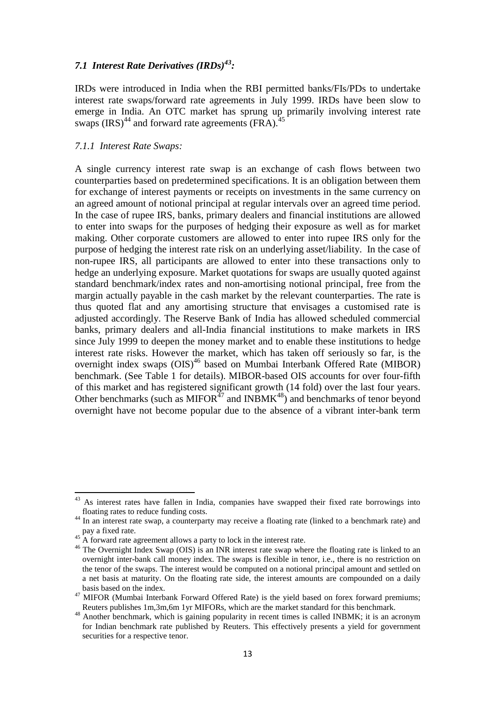## *7.1 Interest Rate Derivatives (IRDs)<sup>43</sup> :*

IRDs were introduced in India when the RBI permitted banks/FIs/PDs to undertake interest rate swaps/forward rate agreements in July 1999. IRDs have been slow to emerge in India. An OTC market has sprung up primarily involving interest rate swaps  $(RS)^{44}$  and forward rate agreements  $(RRA)^{4}$ .

#### *7.1.1 Interest Rate Swaps:*

 $\overline{a}$ 

A single currency interest rate swap is an exchange of cash flows between two counterparties based on predetermined specifications. It is an obligation between them for exchange of interest payments or receipts on investments in the same currency on an agreed amount of notional principal at regular intervals over an agreed time period. In the case of rupee IRS, banks, primary dealers and financial institutions are allowed to enter into swaps for the purposes of hedging their exposure as well as for market making. Other corporate customers are allowed to enter into rupee IRS only for the purpose of hedging the interest rate risk on an underlying asset/liability. In the case of non-rupee IRS, all participants are allowed to enter into these transactions only to hedge an underlying exposure. Market quotations for swaps are usually quoted against standard benchmark/index rates and non-amortising notional principal, free from the margin actually payable in the cash market by the relevant counterparties. The rate is thus quoted flat and any amortising structure that envisages a customised rate is adjusted accordingly. The Reserve Bank of India has allowed scheduled commercial banks, primary dealers and all-India financial institutions to make markets in IRS since July 1999 to deepen the money market and to enable these institutions to hedge interest rate risks. However the market, which has taken off seriously so far, is the overnight index swaps  $(OIS)^{46}$  based on Mumbai Interbank Offered Rate (MIBOR) benchmark. (See Table 1 for details). MIBOR-based OIS accounts for over four-fifth of this market and has registered significant growth (14 fold) over the last four years. Other benchmarks (such as MIFOR $47$  and INBMK $48$ ) and benchmarks of tenor beyond overnight have not become popular due to the absence of a vibrant inter-bank term

<sup>43</sup> As interest rates have fallen in India, companies have swapped their fixed rate borrowings into floating rates to reduce funding costs.

<sup>&</sup>lt;sup>44</sup> In an interest rate swap, a counterparty may receive a floating rate (linked to a benchmark rate) and  $\frac{1}{45}$  pay a fixed rate.

<sup>45</sup> A forward rate agreement allows a party to lock in the interest rate.

<sup>&</sup>lt;sup>46</sup> The Overnight Index Swap (OIS) is an INR interest rate swap where the floating rate is linked to an overnight inter-bank call money index. The swaps is flexible in tenor, i.e., there is no restriction on the tenor of the swaps. The interest would be computed on a notional principal amount and settled on a net basis at maturity. On the floating rate side, the interest amounts are compounded on a daily basis based on the index.

<sup>&</sup>lt;sup>47</sup> MIFOR (Mumbai Interbank Forward Offered Rate) is the yield based on forex forward premiums; Reuters publishes 1m,3m,6m 1yr MIFORs, which are the market standard for this benchmark.

<sup>&</sup>lt;sup>48</sup> Another benchmark, which is gaining popularity in recent times is called INBMK; it is an acronym for Indian benchmark rate published by Reuters. This effectively presents a yield for government securities for a respective tenor.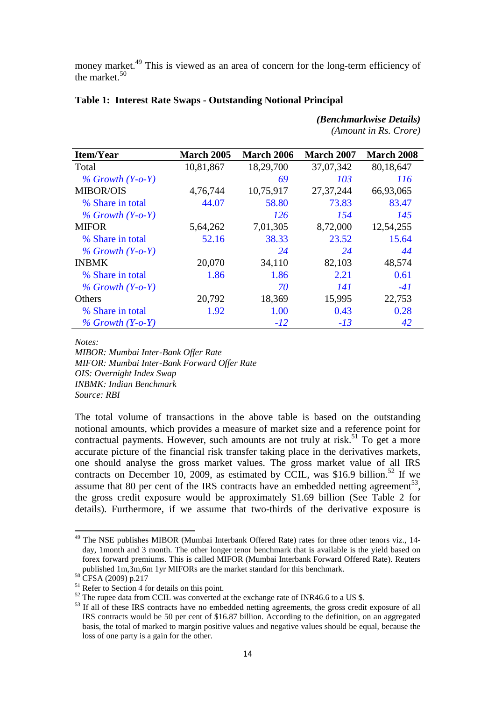money market.<sup>49</sup> This is viewed as an area of concern for the long-term efficiency of the market.<sup>50</sup>

> *(Benchmarkwise Details) (Amount in Rs. Crore)*

| <b>Item/Year</b>       | <b>March 2005</b> | <b>March 2006</b> | <b>March 2007</b> | <b>March 2008</b> |
|------------------------|-------------------|-------------------|-------------------|-------------------|
| Total                  | 10,81,867         | 18,29,700         | 37,07,342         | 80,18,647         |
| $\%$ Growth $(Y$ -0-Y) |                   | 69                | 103               | 116               |
| <b>MIBOR/OIS</b>       | 4,76,744          | 10,75,917         | 27, 37, 244       | 66,93,065         |
| % Share in total       | 44.07             | 58.80             | 73.83             | 83.47             |
| $\%$ Growth $(Y$ -0-Y) |                   | 126               | 154               | 145               |
| <b>MIFOR</b>           | 5,64,262          | 7,01,305          | 8,72,000          | 12,54,255         |
| % Share in total       | 52.16             | 38.33             | 23.52             | 15.64             |
| $\%$ Growth $(Y$ -0-Y) |                   | 24                | 24                | 44                |
| <b>INBMK</b>           | 20,070            | 34,110            | 82,103            | 48,574            |
| % Share in total       | 1.86              | 1.86              | 2.21              | 0.61              |
| $\%$ Growth $(Y-0-Y)$  |                   | 70                | <i>141</i>        | $-41$             |
| Others                 | 20,792            | 18,369            | 15,995            | 22,753            |
| % Share in total       | 1.92              | 1.00              | 0.43              | 0.28              |
| $\%$ Growth $(Y$ -0-Y) |                   | $-12$             | $-13$             | 42                |

#### **Table 1: Interest Rate Swaps - Outstanding Notional Principal**

*Notes:* 

*MIBOR: Mumbai Inter-Bank Offer Rate MIFOR: Mumbai Inter-Bank Forward Offer Rate OIS: Overnight Index Swap INBMK: Indian Benchmark Source: RBI*

The total volume of transactions in the above table is based on the outstanding notional amounts, which provides a measure of market size and a reference point for contractual payments. However, such amounts are not truly at risk.<sup>51</sup> To get a more accurate picture of the financial risk transfer taking place in the derivatives markets, one should analyse the gross market values. The gross market value of all IRS contracts on December 10, 2009, as estimated by CCIL, was \$16.9 billion.<sup>52</sup> If we assume that 80 per cent of the IRS contracts have an embedded netting agreement<sup>53</sup>, the gross credit exposure would be approximately \$1.69 billion (See Table 2 for details). Furthermore, if we assume that two-thirds of the derivative exposure is

<sup>&</sup>lt;sup>49</sup> The NSE publishes MIBOR (Mumbai Interbank Offered Rate) rates for three other tenors viz., 14day, 1month and 3 month. The other longer tenor benchmark that is available is the yield based on forex forward premiums. This is called MIFOR (Mumbai Interbank Forward Offered Rate). Reuters published 1m,3m,6m 1yr MIFORs are the market standard for this benchmark.

<sup>&</sup>lt;sup>50</sup> CFSA (2009) p.217

<sup>&</sup>lt;sup>51</sup> Refer to Section 4 for details on this point.

<sup>&</sup>lt;sup>52</sup> The rupee data from CCIL was converted at the exchange rate of INR46.6 to a US \$.

<sup>&</sup>lt;sup>53</sup> If all of these IRS contracts have no embedded netting agreements, the gross credit exposure of all IRS contracts would be 50 per cent of \$16.87 billion. According to the definition, on an aggregated basis, the total of marked to margin positive values and negative values should be equal, because the loss of one party is a gain for the other.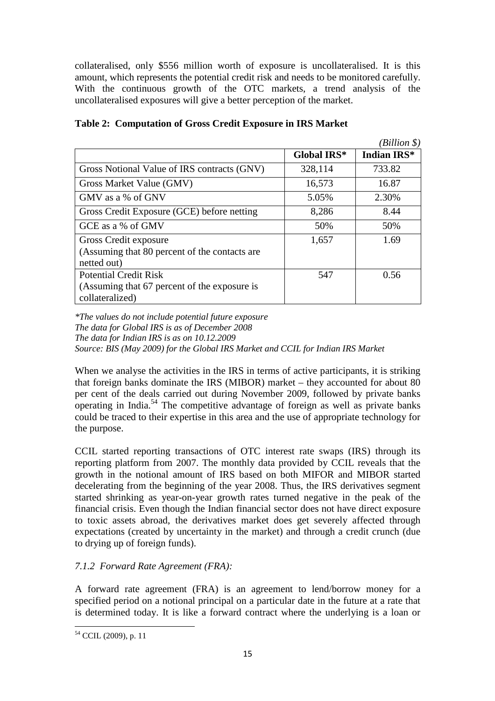collateralised, only \$556 million worth of exposure is uncollateralised. It is this amount, which represents the potential credit risk and needs to be monitored carefully. With the continuous growth of the OTC markets, a trend analysis of the uncollateralised exposures will give a better perception of the market.

|                                                                                                 |             | (Billion \$)       |
|-------------------------------------------------------------------------------------------------|-------------|--------------------|
|                                                                                                 | Global IRS* | <b>Indian IRS*</b> |
| Gross Notional Value of IRS contracts (GNV)                                                     | 328,114     | 733.82             |
| Gross Market Value (GMV)                                                                        | 16,573      | 16.87              |
| GMV as a % of GNV                                                                               | 5.05%       | 2.30%              |
| Gross Credit Exposure (GCE) before netting                                                      | 8,286       | 8.44               |
| GCE as a % of GMV                                                                               | 50%         | 50%                |
| Gross Credit exposure<br>(Assuming that 80 percent of the contacts are<br>netted out)           | 1,657       | 1.69               |
| <b>Potential Credit Risk</b><br>(Assuming that 67 percent of the exposure is<br>collateralized) | 547         | 0.56               |

|  |  |  |  | Table 2: Computation of Gross Credit Exposure in IRS Market |
|--|--|--|--|-------------------------------------------------------------|
|--|--|--|--|-------------------------------------------------------------|

*\*The values do not include potential future exposure The data for Global IRS is as of December 2008 The data for Indian IRS is as on 10.12.2009 Source: BIS (May 2009) for the Global IRS Market and CCIL for Indian IRS Market* 

When we analyse the activities in the IRS in terms of active participants, it is striking that foreign banks dominate the IRS (MIBOR) market – they accounted for about 80 per cent of the deals carried out during November 2009, followed by private banks operating in India.<sup>54</sup> The competitive advantage of foreign as well as private banks could be traced to their expertise in this area and the use of appropriate technology for the purpose.

CCIL started reporting transactions of OTC interest rate swaps (IRS) through its reporting platform from 2007. The monthly data provided by CCIL reveals that the growth in the notional amount of IRS based on both MIFOR and MIBOR started decelerating from the beginning of the year 2008. Thus, the IRS derivatives segment started shrinking as year-on-year growth rates turned negative in the peak of the financial crisis. Even though the Indian financial sector does not have direct exposure to toxic assets abroad, the derivatives market does get severely affected through expectations (created by uncertainty in the market) and through a credit crunch (due to drying up of foreign funds).

## *7.1.2 Forward Rate Agreement (FRA):*

A forward rate agreement (FRA) is an agreement to lend/borrow money for a specified period on a notional principal on a particular date in the future at a rate that is determined today. It is like a forward contract where the underlying is a loan or

<sup>&</sup>lt;sup>54</sup> CCIL (2009), p. 11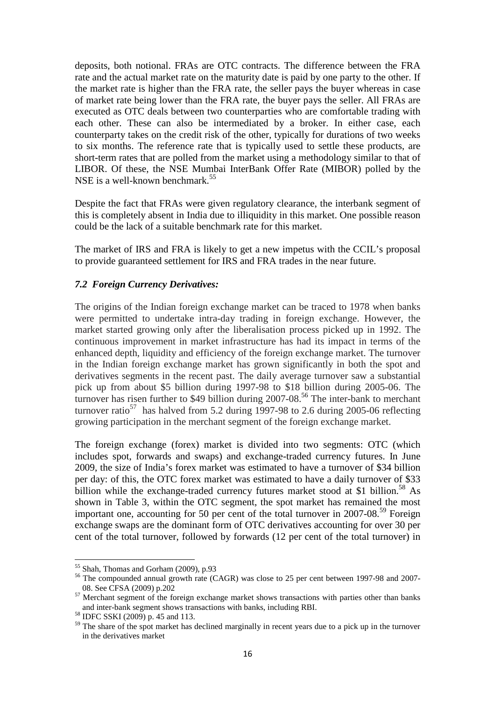deposits, both notional. FRAs are OTC contracts. The difference between the FRA rate and the actual market rate on the maturity date is paid by one party to the other. If the market rate is higher than the FRA rate, the seller pays the buyer whereas in case of market rate being lower than the FRA rate, the buyer pays the seller. All FRAs are executed as OTC deals between two counterparties who are comfortable trading with each other. These can also be intermediated by a broker. In either case, each counterparty takes on the credit risk of the other, typically for durations of two weeks to six months. The reference rate that is typically used to settle these products, are short-term rates that are polled from the market using a methodology similar to that of LIBOR. Of these, the NSE Mumbai InterBank Offer Rate (MIBOR) polled by the NSE is a well-known benchmark.<sup>55</sup>

Despite the fact that FRAs were given regulatory clearance, the interbank segment of this is completely absent in India due to illiquidity in this market. One possible reason could be the lack of a suitable benchmark rate for this market.

The market of IRS and FRA is likely to get a new impetus with the CCIL's proposal to provide guaranteed settlement for IRS and FRA trades in the near future.

#### *7.2 Foreign Currency Derivatives:*

The origins of the Indian foreign exchange market can be traced to 1978 when banks were permitted to undertake intra-day trading in foreign exchange. However, the market started growing only after the liberalisation process picked up in 1992. The continuous improvement in market infrastructure has had its impact in terms of the enhanced depth, liquidity and efficiency of the foreign exchange market. The turnover in the Indian foreign exchange market has grown significantly in both the spot and derivatives segments in the recent past. The daily average turnover saw a substantial pick up from about \$5 billion during 1997-98 to \$18 billion during 2005-06. The turnover has risen further to \$49 billion during 2007-08.<sup>56</sup> The inter-bank to merchant turnover ratio<sup>57</sup> has halved from 5.2 during 1997-98 to 2.6 during 2005-06 reflecting growing participation in the merchant segment of the foreign exchange market.

The foreign exchange (forex) market is divided into two segments: OTC (which includes spot, forwards and swaps) and exchange-traded currency futures. In June 2009, the size of India's forex market was estimated to have a turnover of \$34 billion per day: of this, the OTC forex market was estimated to have a daily turnover of \$33 billion while the exchange-traded currency futures market stood at \$1 billion.<sup>58</sup> As shown in Table 3, within the OTC segment, the spot market has remained the most important one, accounting for 50 per cent of the total turnover in 2007-08.<sup>59</sup> Foreign exchange swaps are the dominant form of OTC derivatives accounting for over 30 per cent of the total turnover, followed by forwards (12 per cent of the total turnover) in

<sup>55</sup> Shah, Thomas and Gorham (2009), p.93

<sup>&</sup>lt;sup>56</sup> The compounded annual growth rate (CAGR) was close to 25 per cent between 1997-98 and 2007-08. See CFSA (2009) p.202

 $57$  Merchant segment of the foreign exchange market shows transactions with parties other than banks and inter-bank segment shows transactions with banks, including RBI.

<sup>&</sup>lt;sup>58</sup> IDFC SSKI (2009) p. 45 and 113.

 $59$  The share of the spot market has declined marginally in recent years due to a pick up in the turnover in the derivatives market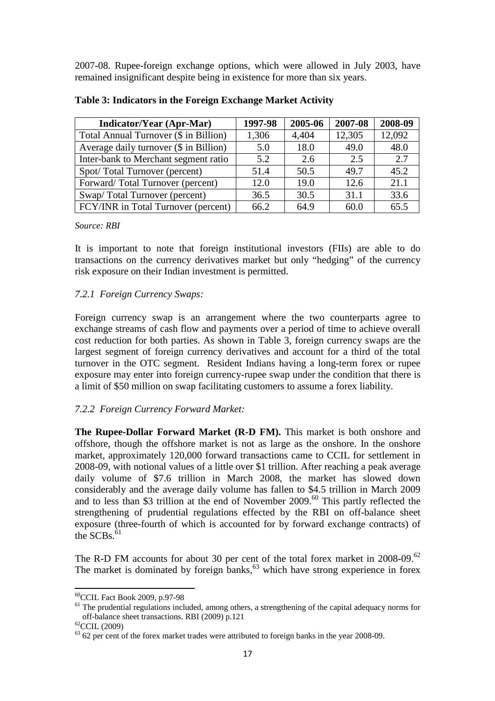2007-08. Rupee-foreign exchange options, which were allowed in July 2003, have remained insignificant despite being in existence for more than six years.

| <b>Indicator/Year (Apr-Mar)</b>        | 1997-98 | 2005-06 | 2007-08 | 2008-09 |
|----------------------------------------|---------|---------|---------|---------|
| Total Annual Turnover (\$ in Billion)  | 1,306   | 4,404   | 12,305  | 12,092  |
| Average daily turnover (\$ in Billion) | 5.0     | 18.0    | 49.0    | 48.0    |
| Inter-bank to Merchant segment ratio   | 5.2     | 2.6     | 2.5     | 2.7     |
| Spot/Total Turnover (percent)          | 51.4    | 50.5    | 49.7    | 45.2    |
| Forward/Total Turnover (percent)       | 12.0    | 19.0    | 12.6    | 21.1    |
| Swap/Total Turnover (percent)          | 36.5    | 30.5    | 31.1    | 33.6    |
| FCY/INR in Total Turnover (percent)    | 66.2    | 64.9    | 60.0    | 65.5    |

#### **Table 3: Indicators in the Foreign Exchange Market Activity**

#### *Source: RBI*

It is important to note that foreign institutional investors (FIIs) are able to do transactions on the currency derivatives market but only "hedging" of the currency risk exposure on their Indian investment is permitted.

#### *7.2.1 Foreign Currency Swaps:*

Foreign currency swap is an arrangement where the two counterparts agree to exchange streams of cash flow and payments over a period of time to achieve overall cost reduction for both parties. As shown in Table 3, foreign currency swaps are the largest segment of foreign currency derivatives and account for a third of the total turnover in the OTC segment. Resident Indians having a long-term forex or rupee exposure may enter into foreign currency-rupee swap under the condition that there is a limit of \$50 million on swap facilitating customers to assume a forex liability.

#### *7.2.2 Foreign Currency Forward Market:*

**The Rupee-Dollar Forward Market (R-D FM).** This market is both onshore and offshore, though the offshore market is not as large as the onshore. In the onshore market, approximately 120,000 forward transactions came to CCIL for settlement in 2008-09, with notional values of a little over \$1 trillion. After reaching a peak average daily volume of \$7.6 trillion in March 2008, the market has slowed down considerably and the average daily volume has fallen to \$4.5 trillion in March 2009 and to less than \$3 trillion at the end of November 2009.<sup>60</sup> This partly reflected the strengthening of prudential regulations effected by the RBI on off-balance sheet exposure (three-fourth of which is accounted for by forward exchange contracts) of the  $SCBs$ <sup> $61$ </sup>

The R-D FM accounts for about 30 per cent of the total forex market in  $2008-09$ .<sup>62</sup> The market is dominated by foreign banks,  $63$  which have strong experience in forex

<sup>60</sup>CCIL Fact Book 2009, p.97-98

 $<sup>61</sup>$  The prudential regulations included, among others, a strengthening of the capital adequacy norms for</sup> off-balance sheet transactions. RBI (2009) p.121

 ${}^{62}$ CCIL (2009)

 $63$  62 per cent of the forex market trades were attributed to foreign banks in the year 2008-09.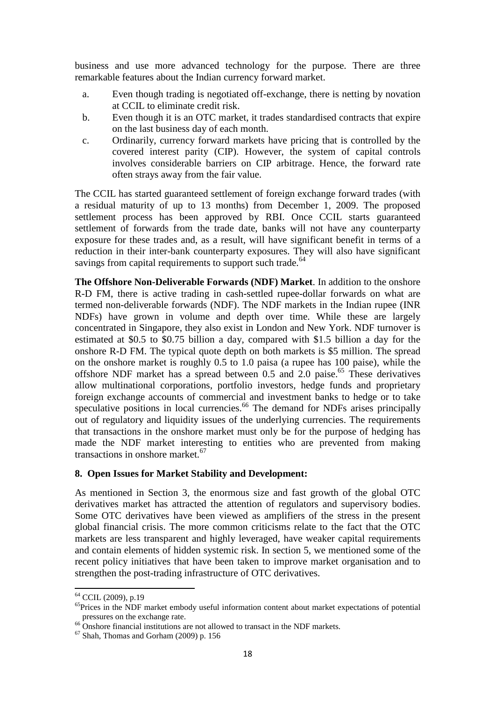business and use more advanced technology for the purpose. There are three remarkable features about the Indian currency forward market.

- a. Even though trading is negotiated off-exchange, there is netting by novation at CCIL to eliminate credit risk.
- b. Even though it is an OTC market, it trades standardised contracts that expire on the last business day of each month.
- c. Ordinarily, currency forward markets have pricing that is controlled by the covered interest parity (CIP). However, the system of capital controls involves considerable barriers on CIP arbitrage. Hence, the forward rate often strays away from the fair value.

The CCIL has started guaranteed settlement of foreign exchange forward trades (with a residual maturity of up to 13 months) from December 1, 2009. The proposed settlement process has been approved by RBI. Once CCIL starts guaranteed settlement of forwards from the trade date, banks will not have any counterparty exposure for these trades and, as a result, will have significant benefit in terms of a reduction in their inter-bank counterparty exposures. They will also have significant savings from capital requirements to support such trade.<sup>64</sup>

**The Offshore Non-Deliverable Forwards (NDF) Market**. In addition to the onshore R-D FM, there is active trading in cash-settled rupee-dollar forwards on what are termed non-deliverable forwards (NDF). The NDF markets in the Indian rupee (INR NDFs) have grown in volume and depth over time. While these are largely concentrated in Singapore, they also exist in London and New York. NDF turnover is estimated at \$0.5 to \$0.75 billion a day, compared with \$1.5 billion a day for the onshore R-D FM. The typical quote depth on both markets is \$5 million. The spread on the onshore market is roughly 0.5 to 1.0 paisa (a rupee has 100 paise), while the offshore NDF market has a spread between 0.5 and 2.0 paise.<sup>65</sup> These derivatives allow multinational corporations, portfolio investors, hedge funds and proprietary foreign exchange accounts of commercial and investment banks to hedge or to take speculative positions in local currencies.<sup> $66$ </sup> The demand for NDFs arises principally out of regulatory and liquidity issues of the underlying currencies. The requirements that transactions in the onshore market must only be for the purpose of hedging has made the NDF market interesting to entities who are prevented from making transactions in onshore market. $67$ 

#### **8. Open Issues for Market Stability and Development:**

As mentioned in Section 3, the enormous size and fast growth of the global OTC derivatives market has attracted the attention of regulators and supervisory bodies. Some OTC derivatives have been viewed as amplifiers of the stress in the present global financial crisis. The more common criticisms relate to the fact that the OTC markets are less transparent and highly leveraged, have weaker capital requirements and contain elements of hidden systemic risk. In section 5, we mentioned some of the recent policy initiatives that have been taken to improve market organisation and to strengthen the post-trading infrastructure of OTC derivatives.

<sup>&</sup>lt;sup>64</sup> CCIL (2009), p.19

 $<sup>65</sup>$  Prices in the NDF market embody useful information content about market expectations of potential</sup> pressures on the exchange rate.

<sup>&</sup>lt;sup>66</sup> Onshore financial institutions are not allowed to transact in the NDF markets.

 $67$  Shah, Thomas and Gorham (2009) p. 156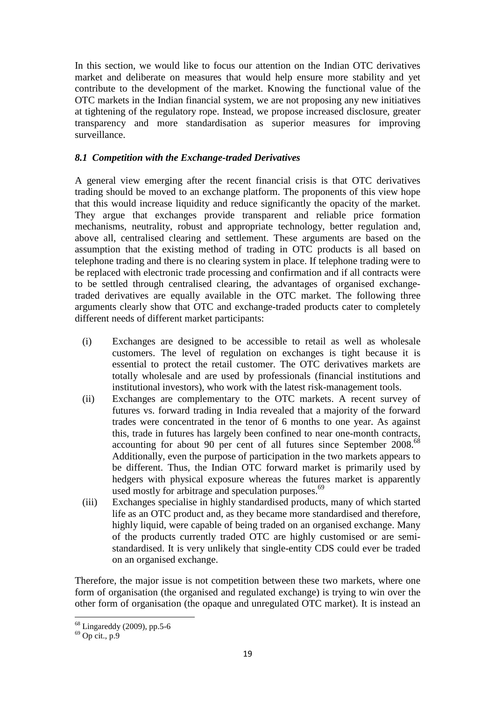In this section, we would like to focus our attention on the Indian OTC derivatives market and deliberate on measures that would help ensure more stability and yet contribute to the development of the market. Knowing the functional value of the OTC markets in the Indian financial system, we are not proposing any new initiatives at tightening of the regulatory rope. Instead, we propose increased disclosure, greater transparency and more standardisation as superior measures for improving surveillance.

#### *8.1 Competition with the Exchange-traded Derivatives*

A general view emerging after the recent financial crisis is that OTC derivatives trading should be moved to an exchange platform. The proponents of this view hope that this would increase liquidity and reduce significantly the opacity of the market. They argue that exchanges provide transparent and reliable price formation mechanisms, neutrality, robust and appropriate technology, better regulation and, above all, centralised clearing and settlement. These arguments are based on the assumption that the existing method of trading in OTC products is all based on telephone trading and there is no clearing system in place. If telephone trading were to be replaced with electronic trade processing and confirmation and if all contracts were to be settled through centralised clearing, the advantages of organised exchangetraded derivatives are equally available in the OTC market. The following three arguments clearly show that OTC and exchange-traded products cater to completely different needs of different market participants:

- (i) Exchanges are designed to be accessible to retail as well as wholesale customers. The level of regulation on exchanges is tight because it is essential to protect the retail customer. The OTC derivatives markets are totally wholesale and are used by professionals (financial institutions and institutional investors), who work with the latest risk-management tools.
- (ii) Exchanges are complementary to the OTC markets. A recent survey of futures vs. forward trading in India revealed that a majority of the forward trades were concentrated in the tenor of 6 months to one year. As against this, trade in futures has largely been confined to near one-month contracts, accounting for about 90 per cent of all futures since September 2008.<sup>68</sup> Additionally, even the purpose of participation in the two markets appears to be different. Thus, the Indian OTC forward market is primarily used by hedgers with physical exposure whereas the futures market is apparently used mostly for arbitrage and speculation purposes.<sup>69</sup>
- (iii) Exchanges specialise in highly standardised products, many of which started life as an OTC product and, as they became more standardised and therefore, highly liquid, were capable of being traded on an organised exchange. Many of the products currently traded OTC are highly customised or are semistandardised. It is very unlikely that single-entity CDS could ever be traded on an organised exchange.

Therefore, the major issue is not competition between these two markets, where one form of organisation (the organised and regulated exchange) is trying to win over the other form of organisation (the opaque and unregulated OTC market). It is instead an

 $68$  Lingareddy (2009), pp.5-6

 $69$  Op cit., p.9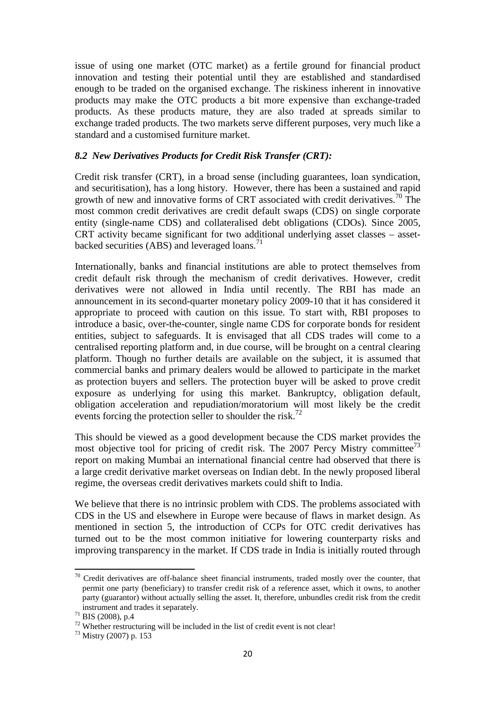issue of using one market (OTC market) as a fertile ground for financial product innovation and testing their potential until they are established and standardised enough to be traded on the organised exchange. The riskiness inherent in innovative products may make the OTC products a bit more expensive than exchange-traded products. As these products mature, they are also traded at spreads similar to exchange traded products. The two markets serve different purposes, very much like a standard and a customised furniture market.

#### *8.2 New Derivatives Products for Credit Risk Transfer (CRT):*

Credit risk transfer (CRT), in a broad sense (including guarantees, loan syndication, and securitisation), has a long history. However, there has been a sustained and rapid growth of new and innovative forms of CRT associated with credit derivatives.<sup>70</sup> The most common credit derivatives are credit default swaps (CDS) on single corporate entity (single-name CDS) and collateralised debt obligations (CDOs). Since 2005, CRT activity became significant for two additional underlying asset classes – assetbacked securities (ABS) and leveraged loans.<sup>71</sup>

Internationally, banks and financial institutions are able to protect themselves from credit default risk through the mechanism of credit derivatives. However, credit derivatives were not allowed in India until recently. The RBI has made an announcement in its second-quarter monetary policy 2009-10 that it has considered it appropriate to proceed with caution on this issue. To start with, RBI proposes to introduce a basic, over-the-counter, single name CDS for corporate bonds for resident entities, subject to safeguards. It is envisaged that all CDS trades will come to a centralised reporting platform and, in due course, will be brought on a central clearing platform. Though no further details are available on the subject, it is assumed that commercial banks and primary dealers would be allowed to participate in the market as protection buyers and sellers. The protection buyer will be asked to prove credit exposure as underlying for using this market. Bankruptcy, obligation default, obligation acceleration and repudiation/moratorium will most likely be the credit events forcing the protection seller to shoulder the risk.<sup>72</sup>

This should be viewed as a good development because the CDS market provides the most objective tool for pricing of credit risk. The 2007 Percy Mistry committee<sup>73</sup> report on making Mumbai an international financial centre had observed that there is a large credit derivative market overseas on Indian debt. In the newly proposed liberal regime, the overseas credit derivatives markets could shift to India.

We believe that there is no intrinsic problem with CDS. The problems associated with CDS in the US and elsewhere in Europe were because of flaws in market design. As mentioned in section 5, the introduction of CCPs for OTC credit derivatives has turned out to be the most common initiative for lowering counterparty risks and improving transparency in the market. If CDS trade in India is initially routed through

 $70$  Credit derivatives are off-balance sheet financial instruments, traded mostly over the counter, that permit one party (beneficiary) to transfer credit risk of a reference asset, which it owns, to another party (guarantor) without actually selling the asset. It, therefore, unbundles credit risk from the credit instrument and trades it separately.

 $71$  BIS (2008), p.4

 $72$  Whether restructuring will be included in the list of credit event is not clear!

<sup>73</sup> Mistry (2007) p. 153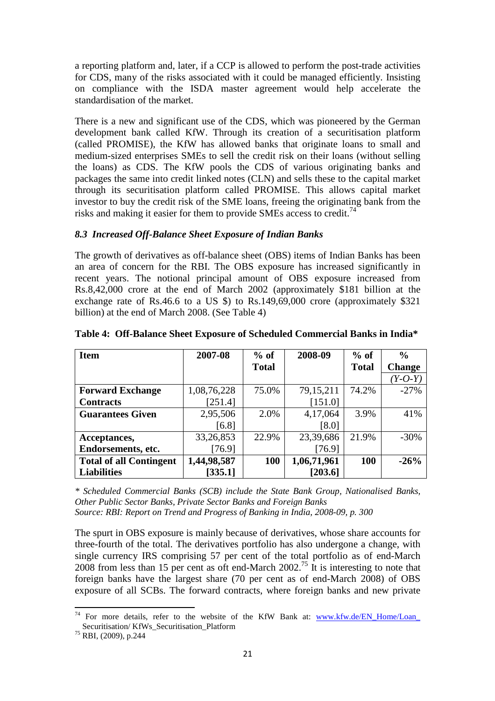a reporting platform and, later, if a CCP is allowed to perform the post-trade activities for CDS, many of the risks associated with it could be managed efficiently. Insisting on compliance with the ISDA master agreement would help accelerate the standardisation of the market.

There is a new and significant use of the CDS, which was pioneered by the German development bank called KfW. Through its creation of a securitisation platform (called PROMISE), the KfW has allowed banks that originate loans to small and medium-sized enterprises SMEs to sell the credit risk on their loans (without selling the loans) as CDS. The KfW pools the CDS of various originating banks and packages the same into credit linked notes (CLN) and sells these to the capital market through its securitisation platform called PROMISE. This allows capital market investor to buy the credit risk of the SME loans, freeing the originating bank from the risks and making it easier for them to provide SMEs access to credit.<sup>74</sup>

#### *8.3 Increased Off-Balance Sheet Exposure of Indian Banks*

The growth of derivatives as off-balance sheet (OBS) items of Indian Banks has been an area of concern for the RBI. The OBS exposure has increased significantly in recent years. The notional principal amount of OBS exposure increased from Rs.8,42,000 crore at the end of March 2002 (approximately \$181 billion at the exchange rate of Rs.46.6 to a US \$) to Rs.149,69,000 crore (approximately \$321 billion) at the end of March 2008. (See Table 4)

| <b>Item</b>                    | 2007-08     | $%$ of       | 2008-09     | $%$ of       | $\frac{6}{9}$ |
|--------------------------------|-------------|--------------|-------------|--------------|---------------|
|                                |             | <b>Total</b> |             | <b>Total</b> | <b>Change</b> |
|                                |             |              |             |              | $(Y-O-Y)$     |
| <b>Forward Exchange</b>        | 1,08,76,228 | 75.0%        | 79,15,211   | 74.2%        | $-27%$        |
| <b>Contracts</b>               | [251.4]     |              | [151.0]     |              |               |
| <b>Guarantees Given</b>        | 2,95,506    | 2.0%         | 4,17,064    | 3.9%         | 41%           |
|                                | [6.8]       |              | [8.0]       |              |               |
| Acceptances,                   | 33, 26, 853 | 22.9%        | 23,39,686   | 21.9%        | $-30\%$       |
| Endorsements, etc.             | [76.9]      |              | [76.9]      |              |               |
| <b>Total of all Contingent</b> | 1,44,98,587 | <b>100</b>   | 1,06,71,961 | 100          | $-26%$        |
| <b>Liabilities</b>             | [335.1]     |              | [203.6]     |              |               |

**Table 4: Off-Balance Sheet Exposure of Scheduled Commercial Banks in India\*** 

*\* Scheduled Commercial Banks (SCB) include the State Bank Group, Nationalised Banks, Other Public Sector Banks, Private Sector Banks and Foreign Banks Source: RBI: Report on Trend and Progress of Banking in India, 2008-09, p. 300* 

The spurt in OBS exposure is mainly because of derivatives, whose share accounts for three-fourth of the total. The derivatives portfolio has also undergone a change, with single currency IRS comprising 57 per cent of the total portfolio as of end-March 2008 from less than 15 per cent as oft end-March 2002.<sup>75</sup> It is interesting to note that foreign banks have the largest share (70 per cent as of end-March 2008) of OBS exposure of all SCBs. The forward contracts, where foreign banks and new private

 $\overline{a}$ 

<sup>&</sup>lt;sup>74</sup> For more details, refer to the website of the KfW Bank at: www.kfw.de/EN\_Home/Loan\_ Securitisation/ KfWs\_Securitisation\_Platform

<sup>75</sup> RBI, (2009), p.244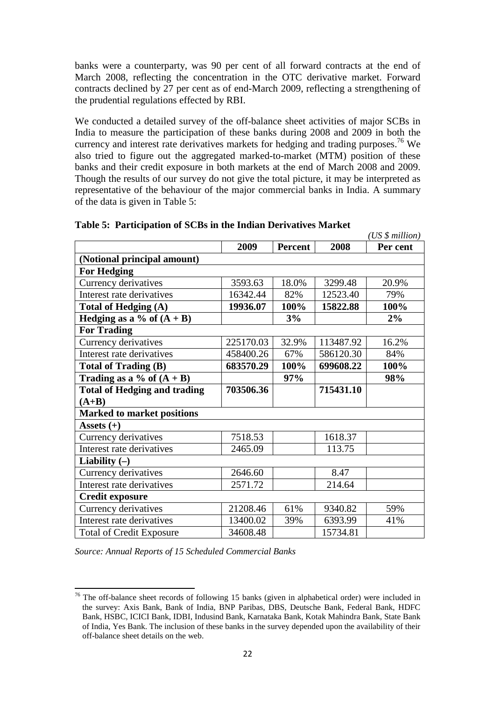banks were a counterparty, was 90 per cent of all forward contracts at the end of March 2008, reflecting the concentration in the OTC derivative market. Forward contracts declined by 27 per cent as of end-March 2009, reflecting a strengthening of the prudential regulations effected by RBI.

We conducted a detailed survey of the off-balance sheet activities of major SCBs in India to measure the participation of these banks during 2008 and 2009 in both the currency and interest rate derivatives markets for hedging and trading purposes.<sup>76</sup> We also tried to figure out the aggregated marked-to-market (MTM) position of these banks and their credit exposure in both markets at the end of March 2008 and 2009. Though the results of our survey do not give the total picture, it may be interpreted as representative of the behaviour of the major commercial banks in India. A summary of the data is given in Table 5:

|                                     |           |                |           | (US \$ million) |
|-------------------------------------|-----------|----------------|-----------|-----------------|
|                                     | 2009      | <b>Percent</b> | 2008      | Per cent        |
| (Notional principal amount)         |           |                |           |                 |
| <b>For Hedging</b>                  |           |                |           |                 |
| Currency derivatives                | 3593.63   | 18.0%          | 3299.48   | 20.9%           |
| Interest rate derivatives           | 16342.44  | 82%            | 12523.40  | 79%             |
| Total of Hedging (A)                | 19936.07  | 100%           | 15822.88  | 100%            |
| Hedging as a % of $(A + B)$         |           | 3%             |           | 2%              |
| <b>For Trading</b>                  |           |                |           |                 |
| Currency derivatives                | 225170.03 | 32.9%          | 113487.92 | 16.2%           |
| Interest rate derivatives           | 458400.26 | 67%            | 586120.30 | 84%             |
| <b>Total of Trading (B)</b>         | 683570.29 | 100%           | 699608.22 | 100%            |
| Trading as a % of $(A + B)$         |           | 97%            |           | 98%             |
| <b>Total of Hedging and trading</b> | 703506.36 |                | 715431.10 |                 |
| $(A+B)$                             |           |                |           |                 |
| <b>Marked to market positions</b>   |           |                |           |                 |
| Assets $(+)$                        |           |                |           |                 |
| Currency derivatives                | 7518.53   |                | 1618.37   |                 |
| Interest rate derivatives           | 2465.09   |                | 113.75    |                 |
| Liability $(-)$                     |           |                |           |                 |
| Currency derivatives                | 2646.60   |                | 8.47      |                 |
| Interest rate derivatives           | 2571.72   |                | 214.64    |                 |
| <b>Credit exposure</b>              |           |                |           |                 |
| Currency derivatives                | 21208.46  | 61%            | 9340.82   | 59%             |
| Interest rate derivatives           | 13400.02  | 39%            | 6393.99   | 41%             |
| <b>Total of Credit Exposure</b>     | 34608.48  |                | 15734.81  |                 |

#### **Table 5: Participation of SCBs in the Indian Derivatives Market**

*Source: Annual Reports of 15 Scheduled Commercial Banks* 

 $76$  The off-balance sheet records of following 15 banks (given in alphabetical order) were included in the survey: Axis Bank, Bank of India, BNP Paribas, DBS, Deutsche Bank, Federal Bank, HDFC Bank, HSBC, ICICI Bank, IDBI, Indusind Bank, Karnataka Bank, Kotak Mahindra Bank, State Bank of India, Yes Bank. The inclusion of these banks in the survey depended upon the availability of their off-balance sheet details on the web.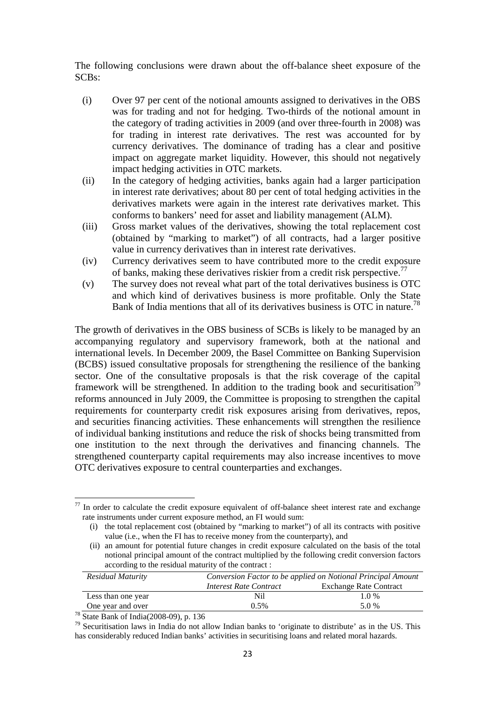The following conclusions were drawn about the off-balance sheet exposure of the SCBs:

- (i) Over 97 per cent of the notional amounts assigned to derivatives in the OBS was for trading and not for hedging. Two-thirds of the notional amount in the category of trading activities in 2009 (and over three-fourth in 2008) was for trading in interest rate derivatives. The rest was accounted for by currency derivatives. The dominance of trading has a clear and positive impact on aggregate market liquidity. However, this should not negatively impact hedging activities in OTC markets.
- (ii) In the category of hedging activities, banks again had a larger participation in interest rate derivatives; about 80 per cent of total hedging activities in the derivatives markets were again in the interest rate derivatives market. This conforms to bankers' need for asset and liability management (ALM).
- (iii) Gross market values of the derivatives, showing the total replacement cost (obtained by "marking to market") of all contracts, had a larger positive value in currency derivatives than in interest rate derivatives.
- (iv) Currency derivatives seem to have contributed more to the credit exposure of banks, making these derivatives riskier from a credit risk perspective.<sup>77</sup>
- (v) The survey does not reveal what part of the total derivatives business is OTC and which kind of derivatives business is more profitable. Only the State Bank of India mentions that all of its derivatives business is OTC in nature.<sup>78</sup>

The growth of derivatives in the OBS business of SCBs is likely to be managed by an accompanying regulatory and supervisory framework, both at the national and international levels. In December 2009, the Basel Committee on Banking Supervision (BCBS) issued consultative proposals for strengthening the resilience of the banking sector. One of the consultative proposals is that the risk coverage of the capital framework will be strengthened. In addition to the trading book and securitisation<sup>79</sup> reforms announced in July 2009, the Committee is proposing to strengthen the capital requirements for counterparty credit risk exposures arising from derivatives, repos, and securities financing activities. These enhancements will strengthen the resilience of individual banking institutions and reduce the risk of shocks being transmitted from one institution to the next through the derivatives and financing channels. The strengthened counterparty capital requirements may also increase incentives to move OTC derivatives exposure to central counterparties and exchanges.

<sup>(</sup>ii) an amount for potential future changes in credit exposure calculated on the basis of the total notional principal amount of the contract multiplied by the following credit conversion factors according to the residual maturity of the contract :

| Residual Maturity  |                        | Conversion Factor to be applied on Notional Principal Amount |  |  |
|--------------------|------------------------|--------------------------------------------------------------|--|--|
|                    | Interest Rate Contract | <b>Exchange Rate Contract</b>                                |  |  |
| Less than one year | Nil                    | $1.0\%$                                                      |  |  |
| One year and over  | $0.5\%$                | 5.0 %                                                        |  |  |

<sup>78</sup> State Bank of India(2008-09), p. 136

 $77$  In order to calculate the credit exposure equivalent of off-balance sheet interest rate and exchange rate instruments under current exposure method, an FI would sum:

<sup>(</sup>i) the total replacement cost (obtained by "marking to market") of all its contracts with positive value (i.e., when the FI has to receive money from the counterparty), and

 $79$  Securitisation laws in India do not allow Indian banks to 'originate to distribute' as in the US. This has considerably reduced Indian banks' activities in securitising loans and related moral hazards.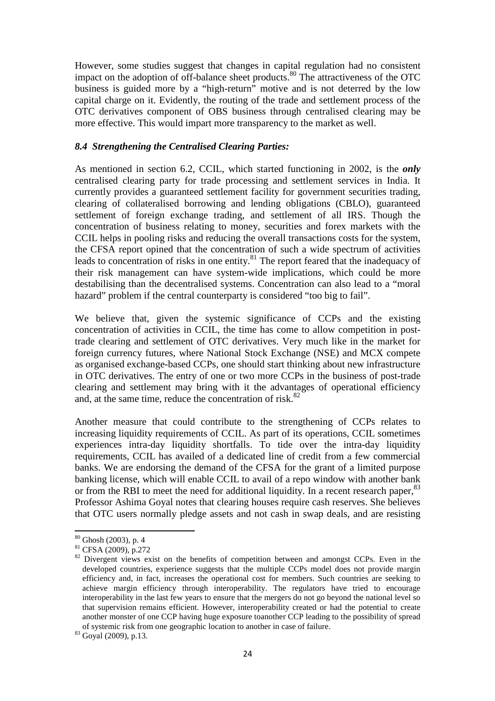However, some studies suggest that changes in capital regulation had no consistent impact on the adoption of off-balance sheet products. $80$  The attractiveness of the OTC business is guided more by a "high-return" motive and is not deterred by the low capital charge on it. Evidently, the routing of the trade and settlement process of the OTC derivatives component of OBS business through centralised clearing may be more effective. This would impart more transparency to the market as well.

#### *8.4 Strengthening the Centralised Clearing Parties:*

As mentioned in section 6.2, CCIL, which started functioning in 2002, is the *only* centralised clearing party for trade processing and settlement services in India. It currently provides a guaranteed settlement facility for government securities trading, clearing of collateralised borrowing and lending obligations (CBLO), guaranteed settlement of foreign exchange trading, and settlement of all IRS. Though the concentration of business relating to money, securities and forex markets with the CCIL helps in pooling risks and reducing the overall transactions costs for the system, the CFSA report opined that the concentration of such a wide spectrum of activities leads to concentration of risks in one entity.<sup>81</sup> The report feared that the inadequacy of their risk management can have system-wide implications, which could be more destabilising than the decentralised systems. Concentration can also lead to a "moral hazard" problem if the central counterparty is considered "too big to fail".

We believe that, given the systemic significance of CCPs and the existing concentration of activities in CCIL, the time has come to allow competition in posttrade clearing and settlement of OTC derivatives. Very much like in the market for foreign currency futures, where National Stock Exchange (NSE) and MCX compete as organised exchange-based CCPs, one should start thinking about new infrastructure in OTC derivatives. The entry of one or two more CCPs in the business of post-trade clearing and settlement may bring with it the advantages of operational efficiency and, at the same time, reduce the concentration of risk.<sup>82</sup>

Another measure that could contribute to the strengthening of CCPs relates to increasing liquidity requirements of CCIL. As part of its operations, CCIL sometimes experiences intra-day liquidity shortfalls. To tide over the intra-day liquidity requirements, CCIL has availed of a dedicated line of credit from a few commercial banks. We are endorsing the demand of the CFSA for the grant of a limited purpose banking license, which will enable CCIL to avail of a repo window with another bank or from the RBI to meet the need for additional liquidity. In a recent research paper, <sup>83</sup> Professor Ashima Goyal notes that clearing houses require cash reserves. She believes that OTC users normally pledge assets and not cash in swap deals, and are resisting

<sup>80</sup> Ghosh (2003), p. 4

<sup>81</sup> CFSA (2009), p.272

<sup>&</sup>lt;sup>82</sup> Divergent views exist on the benefits of competition between and amongst CCPs. Even in the developed countries, experience suggests that the multiple CCPs model does not provide margin efficiency and, in fact, increases the operational cost for members. Such countries are seeking to achieve margin efficiency through interoperability. The regulators have tried to encourage interoperability in the last few years to ensure that the mergers do not go beyond the national level so that supervision remains efficient. However, interoperability created or had the potential to create another monster of one CCP having huge exposure toanother CCP leading to the possibility of spread of systemic risk from one geographic location to another in case of failure.

<sup>83</sup> Goyal (2009), p.13.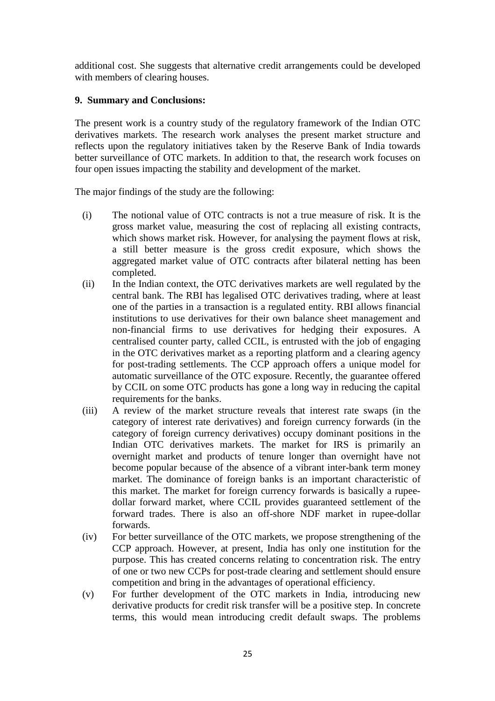additional cost. She suggests that alternative credit arrangements could be developed with members of clearing houses.

#### **9. Summary and Conclusions:**

The present work is a country study of the regulatory framework of the Indian OTC derivatives markets. The research work analyses the present market structure and reflects upon the regulatory initiatives taken by the Reserve Bank of India towards better surveillance of OTC markets. In addition to that, the research work focuses on four open issues impacting the stability and development of the market.

The major findings of the study are the following:

- (i) The notional value of OTC contracts is not a true measure of risk. It is the gross market value, measuring the cost of replacing all existing contracts, which shows market risk. However, for analysing the payment flows at risk, a still better measure is the gross credit exposure, which shows the aggregated market value of OTC contracts after bilateral netting has been completed.
- (ii) In the Indian context, the OTC derivatives markets are well regulated by the central bank. The RBI has legalised OTC derivatives trading, where at least one of the parties in a transaction is a regulated entity. RBI allows financial institutions to use derivatives for their own balance sheet management and non-financial firms to use derivatives for hedging their exposures. A centralised counter party, called CCIL, is entrusted with the job of engaging in the OTC derivatives market as a reporting platform and a clearing agency for post-trading settlements. The CCP approach offers a unique model for automatic surveillance of the OTC exposure. Recently, the guarantee offered by CCIL on some OTC products has gone a long way in reducing the capital requirements for the banks.
- (iii) A review of the market structure reveals that interest rate swaps (in the category of interest rate derivatives) and foreign currency forwards (in the category of foreign currency derivatives) occupy dominant positions in the Indian OTC derivatives markets. The market for IRS is primarily an overnight market and products of tenure longer than overnight have not become popular because of the absence of a vibrant inter-bank term money market. The dominance of foreign banks is an important characteristic of this market. The market for foreign currency forwards is basically a rupeedollar forward market, where CCIL provides guaranteed settlement of the forward trades. There is also an off-shore NDF market in rupee-dollar forwards.
- (iv) For better surveillance of the OTC markets, we propose strengthening of the CCP approach. However, at present, India has only one institution for the purpose. This has created concerns relating to concentration risk. The entry of one or two new CCPs for post-trade clearing and settlement should ensure competition and bring in the advantages of operational efficiency.
- (v) For further development of the OTC markets in India, introducing new derivative products for credit risk transfer will be a positive step. In concrete terms, this would mean introducing credit default swaps. The problems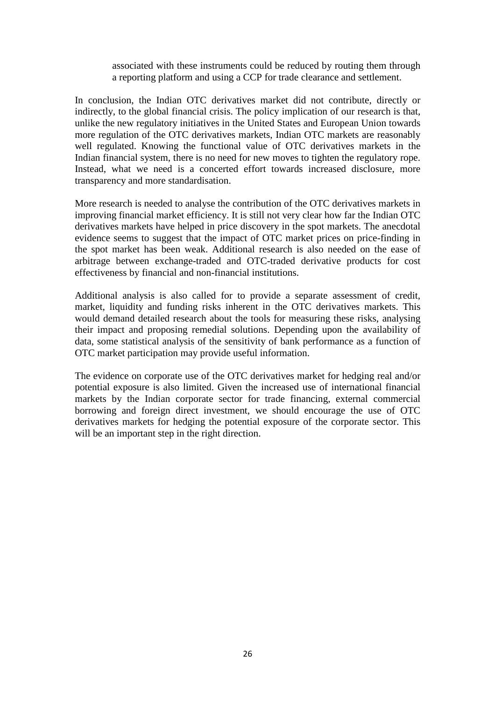#### associated with these instruments could be reduced by routing them through a reporting platform and using a CCP for trade clearance and settlement.

In conclusion, the Indian OTC derivatives market did not contribute, directly or indirectly, to the global financial crisis. The policy implication of our research is that, unlike the new regulatory initiatives in the United States and European Union towards more regulation of the OTC derivatives markets, Indian OTC markets are reasonably well regulated. Knowing the functional value of OTC derivatives markets in the Indian financial system, there is no need for new moves to tighten the regulatory rope. Instead, what we need is a concerted effort towards increased disclosure, more transparency and more standardisation.

More research is needed to analyse the contribution of the OTC derivatives markets in improving financial market efficiency. It is still not very clear how far the Indian OTC derivatives markets have helped in price discovery in the spot markets. The anecdotal evidence seems to suggest that the impact of OTC market prices on price-finding in the spot market has been weak. Additional research is also needed on the ease of arbitrage between exchange-traded and OTC-traded derivative products for cost effectiveness by financial and non-financial institutions.

Additional analysis is also called for to provide a separate assessment of credit, market, liquidity and funding risks inherent in the OTC derivatives markets. This would demand detailed research about the tools for measuring these risks, analysing their impact and proposing remedial solutions. Depending upon the availability of data, some statistical analysis of the sensitivity of bank performance as a function of OTC market participation may provide useful information.

The evidence on corporate use of the OTC derivatives market for hedging real and/or potential exposure is also limited. Given the increased use of international financial markets by the Indian corporate sector for trade financing, external commercial borrowing and foreign direct investment, we should encourage the use of OTC derivatives markets for hedging the potential exposure of the corporate sector. This will be an important step in the right direction.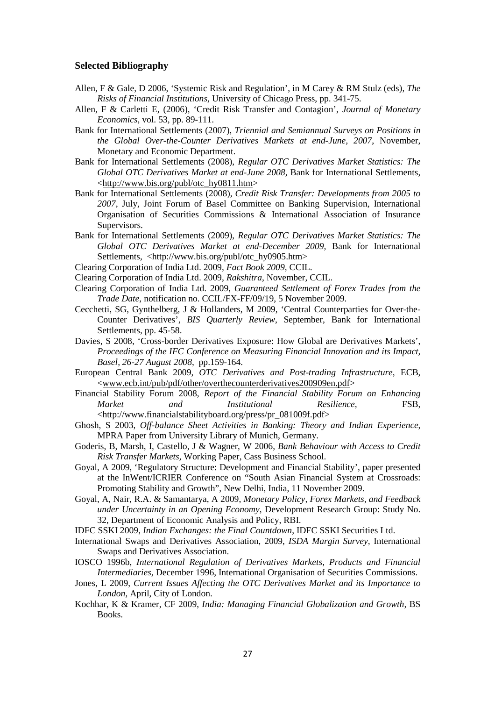#### **Selected Bibliography**

- Allen, F & Gale, D 2006, 'Systemic Risk and Regulation', in M Carey & RM Stulz (eds), *The Risks of Financial Institutions*, University of Chicago Press, pp. 341-75.
- Allen, F & Carletti E, (2006), 'Credit Risk Transfer and Contagion', *Journal of Monetary Economics*, vol. 53, pp. 89-111.
- Bank for International Settlements (2007), *Triennial and Semiannual Surveys on Positions in the Global Over-the-Counter Derivatives Markets at end-June, 2007*, November, Monetary and Economic Department.
- Bank for International Settlements (2008), *Regular OTC Derivatives Market Statistics: The Global OTC Derivatives Market at end-June 2008,* Bank for International Settlements, <http://www.bis.org/publ/otc\_hy0811.htm>
- Bank for International Settlements (2008), *Credit Risk Transfer: Developments from 2005 to 2007*, July, Joint Forum of Basel Committee on Banking Supervision, International Organisation of Securities Commissions & International Association of Insurance Supervisors.
- Bank for International Settlements (2009), *Regular OTC Derivatives Market Statistics: The Global OTC Derivatives Market at end-December 2009,* Bank for International Settlements, <http://www.bis.org/publ/otc\_hy0905.htm>
- Clearing Corporation of India Ltd. 2009, *Fact Book 2009,* CCIL.
- Clearing Corporation of India Ltd. 2009, *Rakshitra*, November, CCIL.
- Clearing Corporation of India Ltd. 2009, *Guaranteed Settlement of Forex Trades from the Trade Date*, notification no. CCIL/FX-FF/09/19, 5 November 2009.
- Cecchetti, SG, Gynthelberg, J & Hollanders, M 2009, 'Central Counterparties for Over-the-Counter Derivatives', *BIS Quarterly Review*, September, Bank for International Settlements, pp. 45-58.
- Davies, S 2008, 'Cross-border Derivatives Exposure: How Global are Derivatives Markets', *Proceedings of the IFC Conference on Measuring Financial Innovation and its Impact, Basel, 26-27 August 2008*, pp.159-164.
- European Central Bank 2009, *OTC Derivatives and Post-trading Infrastructure*, ECB, <www.ecb.int/pub/pdf/other/overthecounterderivatives200909en.pdf>
- Financial Stability Forum 2008, *Report of the Financial Stability Forum on Enhancing Market and Institutional Resilience,* FSB, <http://www.financialstabilityboard.org/press/pr\_081009f.pdf>
- Ghosh, S 2003, *Off-balance Sheet Activities in Banking: Theory and Indian Experience*, MPRA Paper from University Library of Munich, Germany.
- Goderis, B, Marsh, I, Castello, J & Wagner, W 2006, *Bank Behaviour with Access to Credit Risk Transfer Markets,* Working Paper, Cass Business School.
- Goyal, A 2009, 'Regulatory Structure: Development and Financial Stability', paper presented at the InWent/ICRIER Conference on "South Asian Financial System at Crossroads: Promoting Stability and Growth", New Delhi, India, 11 November 2009.
- Goyal, A, Nair, R.A. & Samantarya, A 2009, *Monetary Policy, Forex Markets, and Feedback under Uncertainty in an Opening Economy,* Development Research Group: Study No. 32, Department of Economic Analysis and Policy, RBI.
- IDFC SSKI 2009, *Indian Exchanges: the Final Countdown*, IDFC SSKI Securities Ltd.
- International Swaps and Derivatives Association, 2009, *ISDA Margin Survey,* International Swaps and Derivatives Association.
- IOSCO 1996b, *International Regulation of Derivatives Markets, Products and Financial Intermediaries,* December 1996, International Organisation of Securities Commissions.
- Jones, L 2009, *Current Issues Affecting the OTC Derivatives Market and its Importance to London,* April, City of London.
- Kochhar, K & Kramer, CF 2009, *India: Managing Financial Globalization and Growth,* BS Books.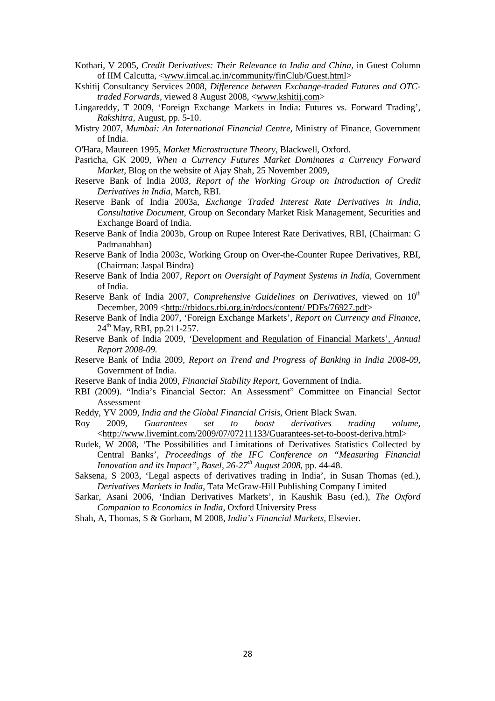Kothari, V 2005, *Credit Derivatives: Their Relevance to India and China,* in Guest Column of IIM Calcutta, <www.iimcal.ac.in/community/finClub/Guest.html>

- Kshitij Consultancy Services 2008, *Difference between Exchange-traded Futures and OTCtraded Forwards,* viewed 8 August 2008, <www.kshitij.com>
- Lingareddy, T 2009, 'Foreign Exchange Markets in India: Futures vs. Forward Trading', *Rakshitra*, August, pp. 5-10.
- Mistry 2007, *Mumbai: An International Financial Centre*, Ministry of Finance, Government of India.
- O'Hara, Maureen 1995, *Market Microstructure Theory*, Blackwell, Oxford.
- Pasricha, GK 2009, *When a Currency Futures Market Dominates a Currency Forward Market,* Blog on the website of Ajay Shah, 25 November 2009,
- Reserve Bank of India 2003, *Report of the Working Group on Introduction of Credit Derivatives in India*, March, RBI.
- Reserve Bank of India 2003a, *Exchange Traded Interest Rate Derivatives in India, Consultative Document*, Group on Secondary Market Risk Management, Securities and Exchange Board of India.
- Reserve Bank of India 2003b, Group on Rupee Interest Rate Derivatives, RBI, (Chairman: G Padmanabhan)
- Reserve Bank of India 2003c, Working Group on Over-the-Counter Rupee Derivatives, RBI, (Chairman: Jaspal Bindra)
- Reserve Bank of India 2007, *Report on Oversight of Payment Systems in India*, Government of India.
- Reserve Bank of India 2007, *Comprehensive Guidelines on Derivatives*, viewed on  $10<sup>th</sup>$ December, 2009 <http://rbidocs.rbi.org.in/rdocs/content/ PDFs/76927.pdf>
- Reserve Bank of India 2007, 'Foreign Exchange Markets', *Report on Currency and Finance*,  $24<sup>th</sup>$  May, RBI, pp.211-257.
- Reserve Bank of India 2009, 'Development and Regulation of Financial Markets', *Annual Report 2008-09.*
- Reserve Bank of India 2009, *Report on Trend and Progress of Banking in India 2008-09*, Government of India.
- Reserve Bank of India 2009, *Financial Stability Report*, Government of India.
- RBI (2009). "India's Financial Sector: An Assessment" Committee on Financial Sector Assessment
- Reddy, YV 2009, *India and the Global Financial Crisis,* Orient Black Swan.
- Roy 2009, *Guarantees set to boost derivatives trading volume,* <http://www.livemint.com/2009/07/07211133/Guarantees-set-to-boost-deriva.html>
- Rudek, W 2008, 'The Possibilities and Limitations of Derivatives Statistics Collected by Central Banks', *Proceedings of the IFC Conference on "Measuring Financial Innovation and its Impact", Basel, 26-27th August 2008,* pp. 44-48.
- Saksena, S 2003, 'Legal aspects of derivatives trading in India', in Susan Thomas (ed.), *Derivatives Markets in India*, Tata McGraw-Hill Publishing Company Limited
- Sarkar, Asani 2006, 'Indian Derivatives Markets', in Kaushik Basu (ed.), *The Oxford Companion to Economics in India*, Oxford University Press
- Shah, A, Thomas, S & Gorham, M 2008, *India's Financial Markets,* Elsevier.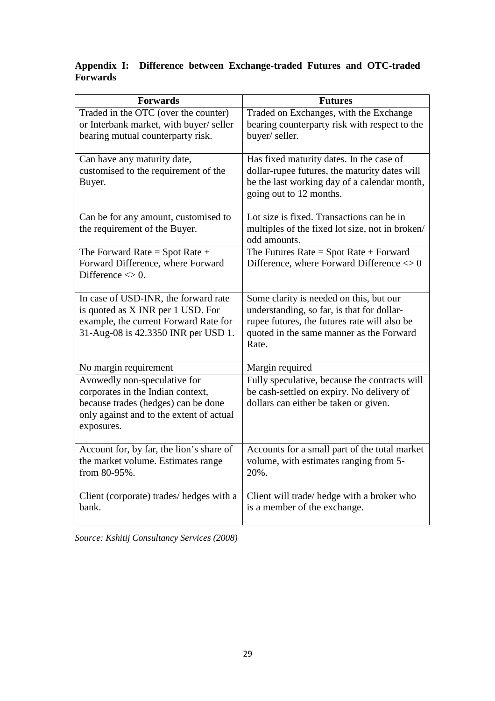## **Appendix I: Difference between Exchange-traded Futures and OTC-traded Forwards**

| <b>Forwards</b>                                                                                                                                                    | <b>Futures</b>                                                                                                                                                                             |
|--------------------------------------------------------------------------------------------------------------------------------------------------------------------|--------------------------------------------------------------------------------------------------------------------------------------------------------------------------------------------|
| Traded in the OTC (over the counter)<br>or Interbank market, with buyer/ seller<br>bearing mutual counterparty risk.                                               | Traded on Exchanges, with the Exchange<br>bearing counterparty risk with respect to the<br>buyer/seller.                                                                                   |
| Can have any maturity date,<br>customised to the requirement of the<br>Buyer.                                                                                      | Has fixed maturity dates. In the case of<br>dollar-rupee futures, the maturity dates will<br>be the last working day of a calendar month,<br>going out to 12 months.                       |
| Can be for any amount, customised to<br>the requirement of the Buyer.                                                                                              | Lot size is fixed. Transactions can be in<br>multiples of the fixed lot size, not in broken/<br>odd amounts.                                                                               |
| The Forward Rate = Spot Rate +<br>Forward Difference, where Forward<br>Difference $\ll 0$ .                                                                        | The Futures Rate = $Spot Rate + Forward$<br>Difference, where Forward Difference $\langle 0 \rangle$                                                                                       |
| In case of USD-INR, the forward rate<br>is quoted as X INR per 1 USD. For<br>example, the current Forward Rate for<br>31-Aug-08 is 42.3350 INR per USD 1.          | Some clarity is needed on this, but our<br>understanding, so far, is that for dollar-<br>rupee futures, the futures rate will also be<br>quoted in the same manner as the Forward<br>Rate. |
| No margin requirement                                                                                                                                              | Margin required                                                                                                                                                                            |
| Avowedly non-speculative for<br>corporates in the Indian context,<br>because trades (hedges) can be done<br>only against and to the extent of actual<br>exposures. | Fully speculative, because the contracts will<br>be cash-settled on expiry. No delivery of<br>dollars can either be taken or given.                                                        |
| Account for, by far, the lion's share of<br>the market volume. Estimates range<br>from 80-95%.                                                                     | Accounts for a small part of the total market<br>volume, with estimates ranging from 5-<br>20%.                                                                                            |
| Client (corporate) trades/ hedges with a<br>bank.                                                                                                                  | Client will trade/ hedge with a broker who<br>is a member of the exchange.                                                                                                                 |

*Source: Kshitij Consultancy Services (2008)*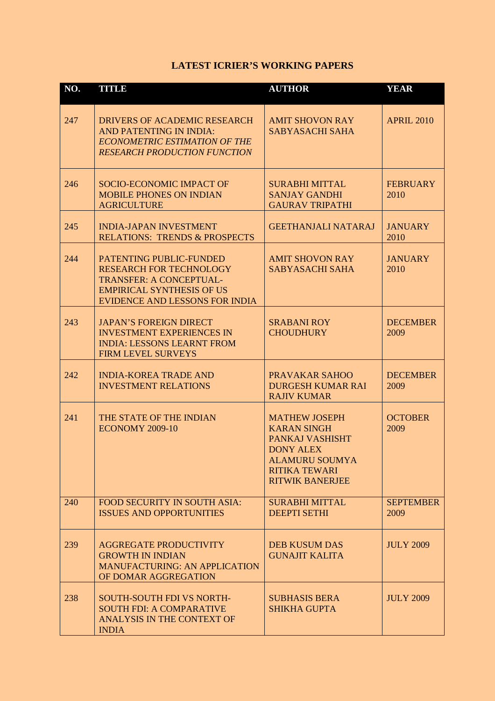## **LATEST ICRIER'S WORKING PAPERS**

| NO. | TITLE                                                                                                                                                             | <b>AUTHOR</b>                                                                                                                                                | <b>YEAR</b>              |
|-----|-------------------------------------------------------------------------------------------------------------------------------------------------------------------|--------------------------------------------------------------------------------------------------------------------------------------------------------------|--------------------------|
| 247 | DRIVERS OF ACADEMIC RESEARCH<br>AND PATENTING IN INDIA:<br><b>ECONOMETRIC ESTIMATION OF THE</b><br><b>RESEARCH PRODUCTION FUNCTION</b>                            | <b>AMIT SHOVON RAY</b><br><b>SABYASACHI SAHA</b>                                                                                                             | <b>APRIL 2010</b>        |
| 246 | <b>SOCIO-ECONOMIC IMPACT OF</b><br><b>MOBILE PHONES ON INDIAN</b><br><b>AGRICULTURE</b>                                                                           | <b>SURABHI MITTAL</b><br><b>SANJAY GANDHI</b><br><b>GAURAV TRIPATHI</b>                                                                                      | <b>FEBRUARY</b><br>2010  |
| 245 | <b>INDIA-JAPAN INVESTMENT</b><br><b>RELATIONS: TRENDS &amp; PROSPECTS</b>                                                                                         | <b>GEETHANJALI NATARAJ</b>                                                                                                                                   | <b>JANUARY</b><br>2010   |
| 244 | PATENTING PUBLIC-FUNDED<br><b>RESEARCH FOR TECHNOLOGY</b><br><b>TRANSFER: A CONCEPTUAL-</b><br><b>EMPIRICAL SYNTHESIS OF US</b><br>EVIDENCE AND LESSONS FOR INDIA | <b>AMIT SHOVON RAY</b><br><b>SABYASACHI SAHA</b>                                                                                                             | <b>JANUARY</b><br>2010   |
| 243 | <b>JAPAN'S FOREIGN DIRECT</b><br><b>INVESTMENT EXPERIENCES IN</b><br><b>INDIA: LESSONS LEARNT FROM</b><br><b>FIRM LEVEL SURVEYS</b>                               | <b>SRABANI ROY</b><br><b>CHOUDHURY</b>                                                                                                                       | <b>DECEMBER</b><br>2009  |
| 242 | <b>INDIA-KOREA TRADE AND</b><br><b>INVESTMENT RELATIONS</b>                                                                                                       | <b>PRAVAKAR SAHOO</b><br><b>DURGESH KUMAR RAI</b><br><b>RAJIV KUMAR</b>                                                                                      | <b>DECEMBER</b><br>2009  |
| 241 | THE STATE OF THE INDIAN<br><b>ECONOMY 2009-10</b>                                                                                                                 | <b>MATHEW JOSEPH</b><br><b>KARAN SINGH</b><br>PANKAJ VASHISHT<br><b>DONY ALEX</b><br><b>ALAMURU SOUMYA</b><br><b>RITIKA TEWARI</b><br><b>RITWIK BANERJEE</b> | <b>OCTOBER</b><br>2009   |
| 240 | FOOD SECURITY IN SOUTH ASIA:<br><b>ISSUES AND OPPORTUNITIES</b>                                                                                                   | <b>SURABHI MITTAL</b><br><b>DEEPTI SETHI</b>                                                                                                                 | <b>SEPTEMBER</b><br>2009 |
| 239 | <b>AGGREGATE PRODUCTIVITY</b><br><b>GROWTH IN INDIAN</b><br><b>MANUFACTURING: AN APPLICATION</b><br>OF DOMAR AGGREGATION                                          | <b>DEB KUSUM DAS</b><br><b>GUNAJIT KALITA</b>                                                                                                                | <b>JULY 2009</b>         |
| 238 | <b>SOUTH-SOUTH FDI VS NORTH-</b><br><b>SOUTH FDI: A COMPARATIVE</b><br>ANALYSIS IN THE CONTEXT OF<br><b>INDIA</b>                                                 | <b>SUBHASIS BERA</b><br><b>SHIKHA GUPTA</b>                                                                                                                  | <b>JULY 2009</b>         |